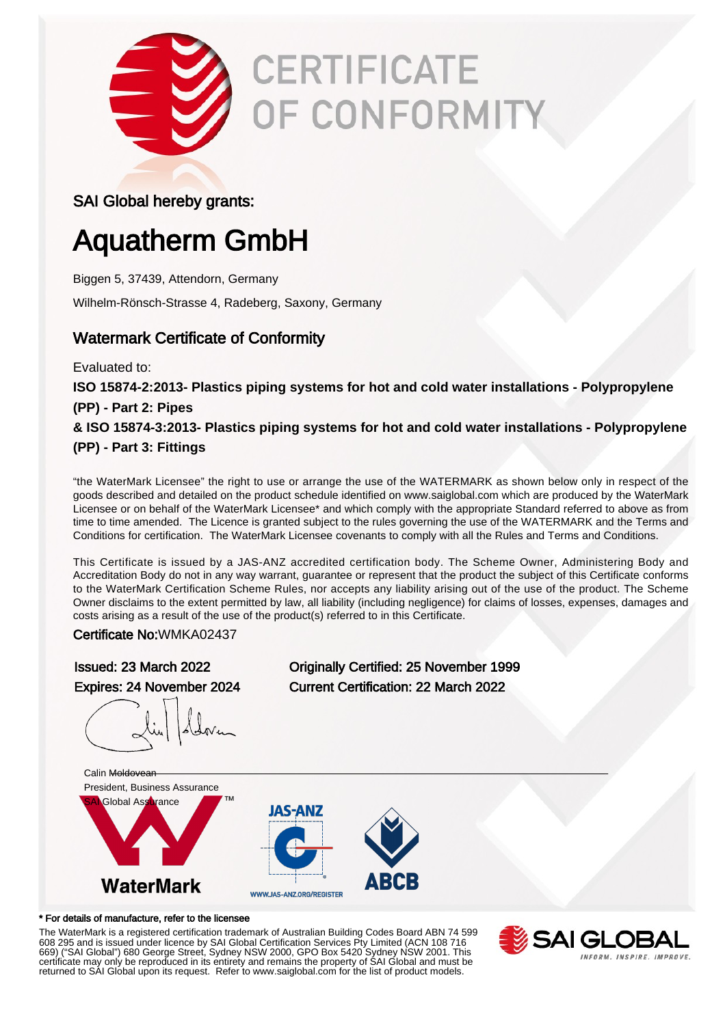

# **CERTIFICATE** OF CONFORMITY

### SAI Global hereby grants:

## Aquatherm GmbH

Biggen 5, 37439, Attendorn, Germany

Wilhelm-Rönsch-Strasse 4, Radeberg, Saxony, Germany

### Watermark Certificate of Conformity

Evaluated to:

**ISO 15874-2:2013- Plastics piping systems for hot and cold water installations - Polypropylene (PP) - Part 2: Pipes**

**& ISO 15874-3:2013- Plastics piping systems for hot and cold water installations - Polypropylene (PP) - Part 3: Fittings**

"the WaterMark Licensee" the right to use or arrange the use of the WATERMARK as shown below only in respect of the goods described and detailed on the product schedule identified on www.saiglobal.com which are produced by the WaterMark Licensee or on behalf of the WaterMark Licensee\* and which comply with the appropriate Standard referred to above as from time to time amended. The Licence is granted subject to the rules governing the use of the WATERMARK and the Terms and Conditions for certification. The WaterMark Licensee covenants to comply with all the Rules and Terms and Conditions.

This Certificate is issued by a JAS-ANZ accredited certification body. The Scheme Owner, Administering Body and Accreditation Body do not in any way warrant, guarantee or represent that the product the subject of this Certificate conforms to the WaterMark Certification Scheme Rules, nor accepts any liability arising out of the use of the product. The Scheme Owner disclaims to the extent permitted by law, all liability (including negligence) for claims of losses, expenses, damages and costs arising as a result of the use of the product(s) referred to in this Certificate.

Certificate No:WMKA02437

Issued: 23 March 2022 Originally Certified: 25 November 1999 Expires: 24 November 2024 Current Certification: 22 March 2022



#### \* For details of manufacture, refer to the licensee

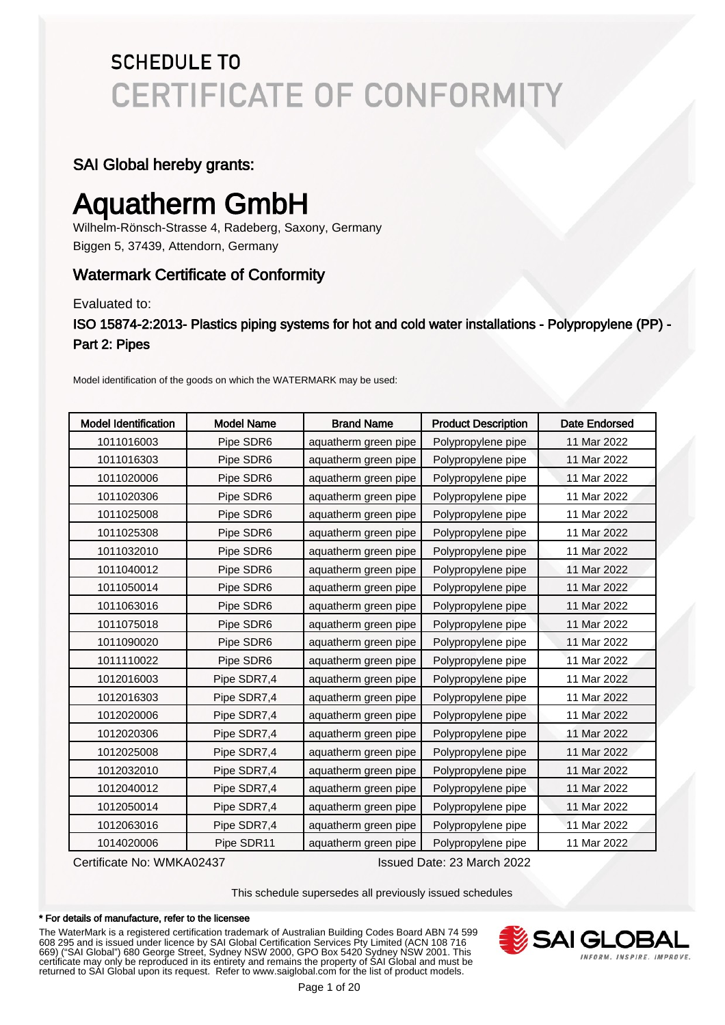#### SAI Global hereby grants:

### Aquatherm GmbH

Wilhelm-Rönsch-Strasse 4, Radeberg, Saxony, Germany Biggen 5, 37439, Attendorn, Germany

### Watermark Certificate of Conformity

Evaluated to:

ISO 15874-2:2013- Plastics piping systems for hot and cold water installations - Polypropylene (PP) - Part 2: Pipes

Model identification of the goods on which the WATERMARK may be used:

| <b>Model Identification</b> | <b>Model Name</b> | <b>Brand Name</b>    | <b>Product Description</b> | <b>Date Endorsed</b> |
|-----------------------------|-------------------|----------------------|----------------------------|----------------------|
| 1011016003                  | Pipe SDR6         | aquatherm green pipe | Polypropylene pipe         | 11 Mar 2022          |
| 1011016303                  | Pipe SDR6         | aquatherm green pipe | Polypropylene pipe         | 11 Mar 2022          |
| 1011020006                  | Pipe SDR6         | aquatherm green pipe | Polypropylene pipe         | 11 Mar 2022          |
| 1011020306                  | Pipe SDR6         | aquatherm green pipe | Polypropylene pipe         | 11 Mar 2022          |
| 1011025008                  | Pipe SDR6         | aquatherm green pipe | Polypropylene pipe         | 11 Mar 2022          |
| 1011025308                  | Pipe SDR6         | aquatherm green pipe | Polypropylene pipe         | 11 Mar 2022          |
| 1011032010                  | Pipe SDR6         | aquatherm green pipe | Polypropylene pipe         | 11 Mar 2022          |
| 1011040012                  | Pipe SDR6         | aquatherm green pipe | Polypropylene pipe         | 11 Mar 2022          |
| 1011050014                  | Pipe SDR6         | aquatherm green pipe | Polypropylene pipe         | 11 Mar 2022          |
| 1011063016                  | Pipe SDR6         | aquatherm green pipe | Polypropylene pipe         | 11 Mar 2022          |
| 1011075018                  | Pipe SDR6         | aquatherm green pipe | Polypropylene pipe         | 11 Mar 2022          |
| 1011090020                  | Pipe SDR6         | aquatherm green pipe | Polypropylene pipe         | 11 Mar 2022          |
| 1011110022                  | Pipe SDR6         | aquatherm green pipe | Polypropylene pipe         | 11 Mar 2022          |
| 1012016003                  | Pipe SDR7,4       | aquatherm green pipe | Polypropylene pipe         | 11 Mar 2022          |
| 1012016303                  | Pipe SDR7,4       | aquatherm green pipe | Polypropylene pipe         | 11 Mar 2022          |
| 1012020006                  | Pipe SDR7,4       | aquatherm green pipe | Polypropylene pipe         | 11 Mar 2022          |
| 1012020306                  | Pipe SDR7,4       | aquatherm green pipe | Polypropylene pipe         | 11 Mar 2022          |
| 1012025008                  | Pipe SDR7,4       | aquatherm green pipe | Polypropylene pipe         | 11 Mar 2022          |
| 1012032010                  | Pipe SDR7,4       | aquatherm green pipe | Polypropylene pipe         | 11 Mar 2022          |
| 1012040012                  | Pipe SDR7,4       | aquatherm green pipe | Polypropylene pipe         | 11 Mar 2022          |
| 1012050014                  | Pipe SDR7,4       | aquatherm green pipe | Polypropylene pipe         | 11 Mar 2022          |
| 1012063016                  | Pipe SDR7,4       | aquatherm green pipe | Polypropylene pipe         | 11 Mar 2022          |
| 1014020006                  | Pipe SDR11        | aquatherm green pipe | Polypropylene pipe         | 11 Mar 2022          |

Certificate No: WMKA02437 Issued Date: 23 March 2022

This schedule supersedes all previously issued schedules

#### \* For details of manufacture, refer to the licensee

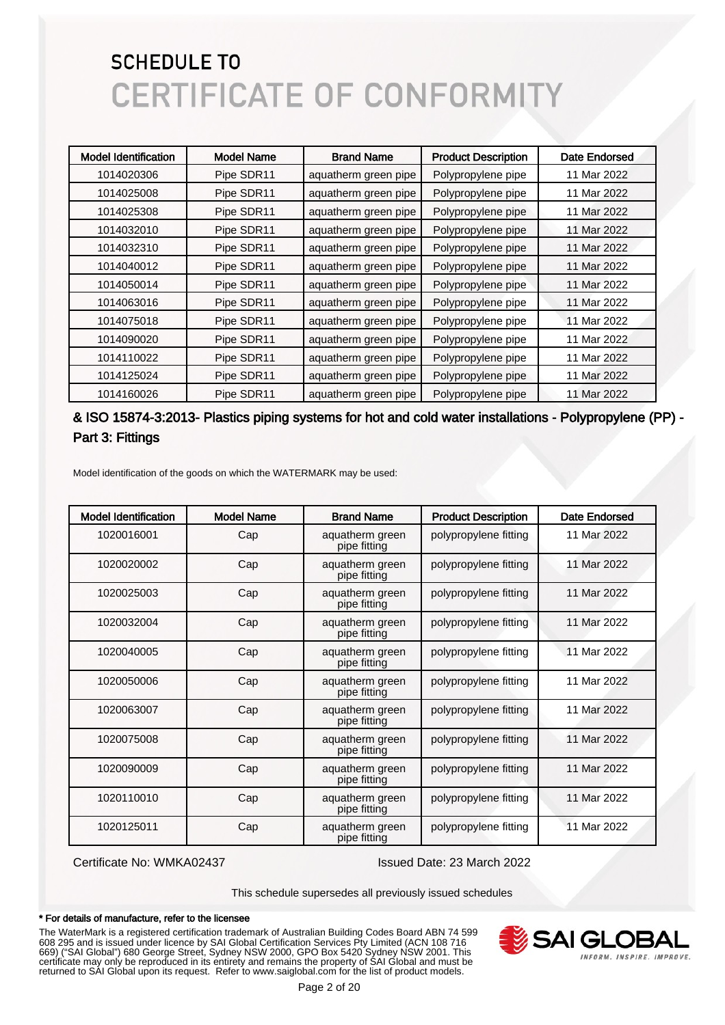| <b>Model Identification</b> | <b>Model Name</b> | <b>Brand Name</b>    | <b>Product Description</b> | Date Endorsed |
|-----------------------------|-------------------|----------------------|----------------------------|---------------|
| 1014020306                  | Pipe SDR11        | aquatherm green pipe | Polypropylene pipe         | 11 Mar 2022   |
| 1014025008                  | Pipe SDR11        | aquatherm green pipe | Polypropylene pipe         | 11 Mar 2022   |
| 1014025308                  | Pipe SDR11        | aquatherm green pipe | Polypropylene pipe         | 11 Mar 2022   |
| 1014032010                  | Pipe SDR11        | aquatherm green pipe | Polypropylene pipe         | 11 Mar 2022   |
| 1014032310                  | Pipe SDR11        | aquatherm green pipe | Polypropylene pipe         | 11 Mar 2022   |
| 1014040012                  | Pipe SDR11        | aquatherm green pipe | Polypropylene pipe         | 11 Mar 2022   |
| 1014050014                  | Pipe SDR11        | aquatherm green pipe | Polypropylene pipe         | 11 Mar 2022   |
| 1014063016                  | Pipe SDR11        | aquatherm green pipe | Polypropylene pipe         | 11 Mar 2022   |
| 1014075018                  | Pipe SDR11        | aquatherm green pipe | Polypropylene pipe         | 11 Mar 2022   |
| 1014090020                  | Pipe SDR11        | aquatherm green pipe | Polypropylene pipe         | 11 Mar 2022   |
| 1014110022                  | Pipe SDR11        | aquatherm green pipe | Polypropylene pipe         | 11 Mar 2022   |
| 1014125024                  | Pipe SDR11        | aquatherm green pipe | Polypropylene pipe         | 11 Mar 2022   |
| 1014160026                  | Pipe SDR11        | aquatherm green pipe | Polypropylene pipe         | 11 Mar 2022   |

#### & ISO 15874-3:2013- Plastics piping systems for hot and cold water installations - Polypropylene (PP) - Part 3: Fittings

Model identification of the goods on which the WATERMARK may be used:

| <b>Model Identification</b> | <b>Model Name</b> | <b>Brand Name</b>               | <b>Product Description</b> | <b>Date Endorsed</b> |
|-----------------------------|-------------------|---------------------------------|----------------------------|----------------------|
| 1020016001                  | Cap               | aquatherm green<br>pipe fitting | polypropylene fitting      | 11 Mar 2022          |
| 1020020002                  | Cap               | aquatherm green<br>pipe fitting | polypropylene fitting      | 11 Mar 2022          |
| 1020025003                  | Cap               | aquatherm green<br>pipe fitting | polypropylene fitting      | 11 Mar 2022          |
| 1020032004                  | Cap               | aquatherm green<br>pipe fitting | polypropylene fitting      | 11 Mar 2022          |
| 1020040005                  | Cap               | aquatherm green<br>pipe fitting | polypropylene fitting      | 11 Mar 2022          |
| 1020050006                  | Cap               | aquatherm green<br>pipe fitting | polypropylene fitting      | 11 Mar 2022          |
| 1020063007                  | Cap               | aquatherm green<br>pipe fitting | polypropylene fitting      | 11 Mar 2022          |
| 1020075008                  | Cap               | aquatherm green<br>pipe fitting | polypropylene fitting      | 11 Mar 2022          |
| 1020090009                  | Cap               | aquatherm green<br>pipe fitting | polypropylene fitting      | 11 Mar 2022          |
| 1020110010                  | Cap               | aquatherm green<br>pipe fitting | polypropylene fitting      | 11 Mar 2022          |
| 1020125011                  | Cap               | aquatherm green<br>pipe fitting | polypropylene fitting      | 11 Mar 2022          |

Certificate No: WMKA02437 Issued Date: 23 March 2022

This schedule supersedes all previously issued schedules

#### \* For details of manufacture, refer to the licensee

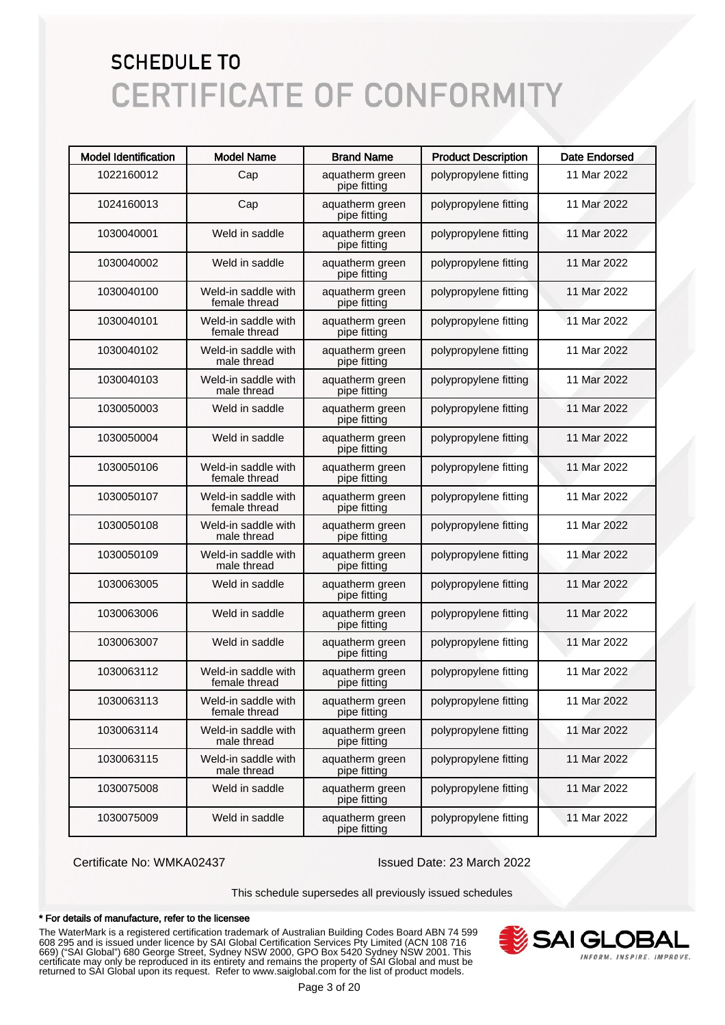| <b>Model Identification</b> | <b>Model Name</b>                    | <b>Brand Name</b>               | <b>Product Description</b> | <b>Date Endorsed</b> |
|-----------------------------|--------------------------------------|---------------------------------|----------------------------|----------------------|
| 1022160012                  | Cap                                  | aquatherm green<br>pipe fitting | polypropylene fitting      | 11 Mar 2022          |
| 1024160013                  | Cap                                  | aquatherm green<br>pipe fitting | polypropylene fitting      | 11 Mar 2022          |
| 1030040001                  | Weld in saddle                       | aquatherm green<br>pipe fitting | polypropylene fitting      | 11 Mar 2022          |
| 1030040002                  | Weld in saddle                       | aquatherm green<br>pipe fitting | polypropylene fitting      | 11 Mar 2022          |
| 1030040100                  | Weld-in saddle with<br>female thread | aquatherm green<br>pipe fitting | polypropylene fitting      | 11 Mar 2022          |
| 1030040101                  | Weld-in saddle with<br>female thread | aquatherm green<br>pipe fitting | polypropylene fitting      | 11 Mar 2022          |
| 1030040102                  | Weld-in saddle with<br>male thread   | aquatherm green<br>pipe fitting | polypropylene fitting      | 11 Mar 2022          |
| 1030040103                  | Weld-in saddle with<br>male thread   | aquatherm green<br>pipe fitting | polypropylene fitting      | 11 Mar 2022          |
| 1030050003                  | Weld in saddle                       | aquatherm green<br>pipe fitting | polypropylene fitting      | 11 Mar 2022          |
| 1030050004                  | Weld in saddle                       | aquatherm green<br>pipe fitting | polypropylene fitting      | 11 Mar 2022          |
| 1030050106                  | Weld-in saddle with<br>female thread | aquatherm green<br>pipe fitting | polypropylene fitting      | 11 Mar 2022          |
| 1030050107                  | Weld-in saddle with<br>female thread | aquatherm green<br>pipe fitting | polypropylene fitting      | 11 Mar 2022          |
| 1030050108                  | Weld-in saddle with<br>male thread   | aquatherm green<br>pipe fitting | polypropylene fitting      | 11 Mar 2022          |
| 1030050109                  | Weld-in saddle with<br>male thread   | aquatherm green<br>pipe fitting | polypropylene fitting      | 11 Mar 2022          |
| 1030063005                  | Weld in saddle                       | aquatherm green<br>pipe fitting | polypropylene fitting      | 11 Mar 2022          |
| 1030063006                  | Weld in saddle                       | aquatherm green<br>pipe fitting | polypropylene fitting      | 11 Mar 2022          |
| 1030063007                  | Weld in saddle                       | aquatherm green<br>pipe fitting | polypropylene fitting      | 11 Mar 2022          |
| 1030063112                  | Weld-in saddle with<br>female thread | aquatherm green<br>pipe fitting | polypropylene fitting      | 11 Mar 2022          |
| 1030063113                  | Weld-in saddle with<br>female thread | aquatherm green<br>pipe fitting | polypropylene fitting      | 11 Mar 2022          |
| 1030063114                  | Weld-in saddle with<br>male thread   | aquatherm green<br>pipe fitting | polypropylene fitting      | 11 Mar 2022          |
| 1030063115                  | Weld-in saddle with<br>male thread   | aquatherm green<br>pipe fitting | polypropylene fitting      | 11 Mar 2022          |
| 1030075008                  | Weld in saddle                       | aquatherm green<br>pipe fitting | polypropylene fitting      | 11 Mar 2022          |
| 1030075009                  | Weld in saddle                       | aquatherm green<br>pipe fitting | polypropylene fitting      | 11 Mar 2022          |

Certificate No: WMKA02437 Issued Date: 23 March 2022

This schedule supersedes all previously issued schedules

#### \* For details of manufacture, refer to the licensee

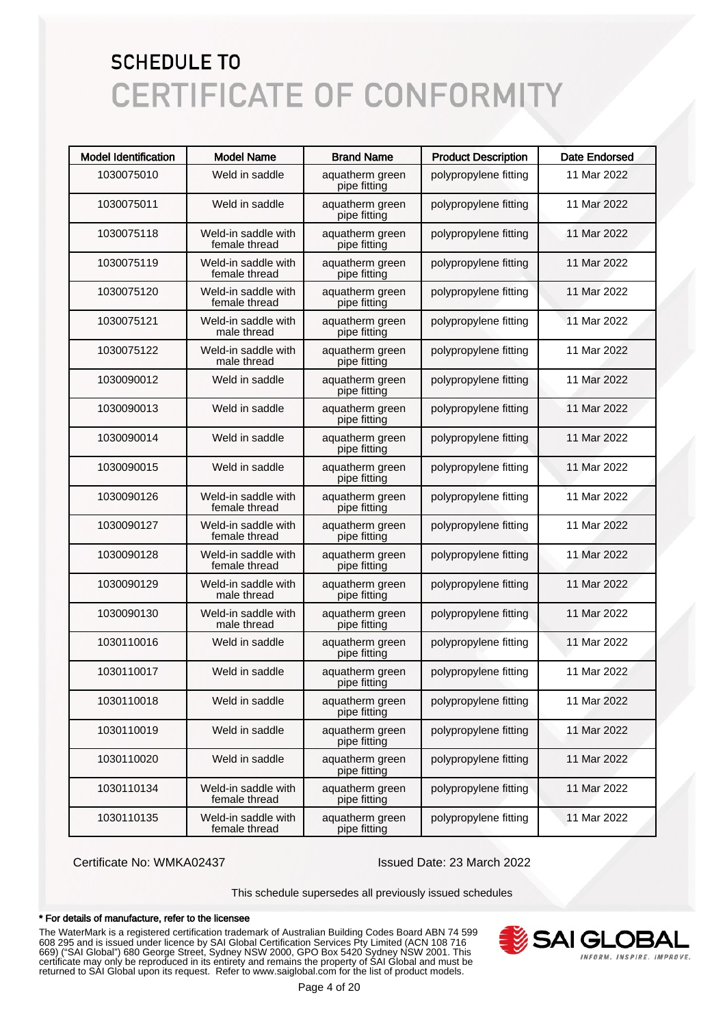| <b>Model Identification</b> | <b>Model Name</b>                    | <b>Brand Name</b>               | <b>Product Description</b> | <b>Date Endorsed</b> |
|-----------------------------|--------------------------------------|---------------------------------|----------------------------|----------------------|
| 1030075010                  | Weld in saddle                       | aquatherm green<br>pipe fitting | polypropylene fitting      | 11 Mar 2022          |
| 1030075011                  | Weld in saddle                       | aquatherm green<br>pipe fitting | polypropylene fitting      | 11 Mar 2022          |
| 1030075118                  | Weld-in saddle with<br>female thread | aquatherm green<br>pipe fitting | polypropylene fitting      | 11 Mar 2022          |
| 1030075119                  | Weld-in saddle with<br>female thread | aquatherm green<br>pipe fitting | polypropylene fitting      | 11 Mar 2022          |
| 1030075120                  | Weld-in saddle with<br>female thread | aquatherm green<br>pipe fitting | polypropylene fitting      | 11 Mar 2022          |
| 1030075121                  | Weld-in saddle with<br>male thread   | aquatherm green<br>pipe fitting | polypropylene fitting      | 11 Mar 2022          |
| 1030075122                  | Weld-in saddle with<br>male thread   | aquatherm green<br>pipe fitting | polypropylene fitting      | 11 Mar 2022          |
| 1030090012                  | Weld in saddle                       | aquatherm green<br>pipe fitting | polypropylene fitting      | 11 Mar 2022          |
| 1030090013                  | Weld in saddle                       | aquatherm green<br>pipe fitting | polypropylene fitting      | 11 Mar 2022          |
| 1030090014                  | Weld in saddle                       | aquatherm green<br>pipe fitting | polypropylene fitting      | 11 Mar 2022          |
| 1030090015                  | Weld in saddle                       | aquatherm green<br>pipe fitting | polypropylene fitting      | 11 Mar 2022          |
| 1030090126                  | Weld-in saddle with<br>female thread | aquatherm green<br>pipe fitting | polypropylene fitting      | 11 Mar 2022          |
| 1030090127                  | Weld-in saddle with<br>female thread | aquatherm green<br>pipe fitting | polypropylene fitting      | 11 Mar 2022          |
| 1030090128                  | Weld-in saddle with<br>female thread | aquatherm green<br>pipe fitting | polypropylene fitting      | 11 Mar 2022          |
| 1030090129                  | Weld-in saddle with<br>male thread   | aquatherm green<br>pipe fitting | polypropylene fitting      | 11 Mar 2022          |
| 1030090130                  | Weld-in saddle with<br>male thread   | aquatherm green<br>pipe fitting | polypropylene fitting      | 11 Mar 2022          |
| 1030110016                  | Weld in saddle                       | aquatherm green<br>pipe fitting | polypropylene fitting      | 11 Mar 2022          |
| 1030110017                  | Weld in saddle                       | aquatherm green<br>pipe fitting | polypropylene fitting      | 11 Mar 2022          |
| 1030110018                  | Weld in saddle                       | aquatherm green<br>pipe fitting | polypropylene fitting      | 11 Mar 2022          |
| 1030110019                  | Weld in saddle                       | aquatherm green<br>pipe fitting | polypropylene fitting      | 11 Mar 2022          |
| 1030110020                  | Weld in saddle                       | aquatherm green<br>pipe fitting | polypropylene fitting      | 11 Mar 2022          |
| 1030110134                  | Weld-in saddle with<br>female thread | aquatherm green<br>pipe fitting | polypropylene fitting      | 11 Mar 2022          |
| 1030110135                  | Weld-in saddle with<br>female thread | aquatherm green<br>pipe fitting | polypropylene fitting      | 11 Mar 2022          |

Certificate No: WMKA02437 Issued Date: 23 March 2022

This schedule supersedes all previously issued schedules

#### \* For details of manufacture, refer to the licensee

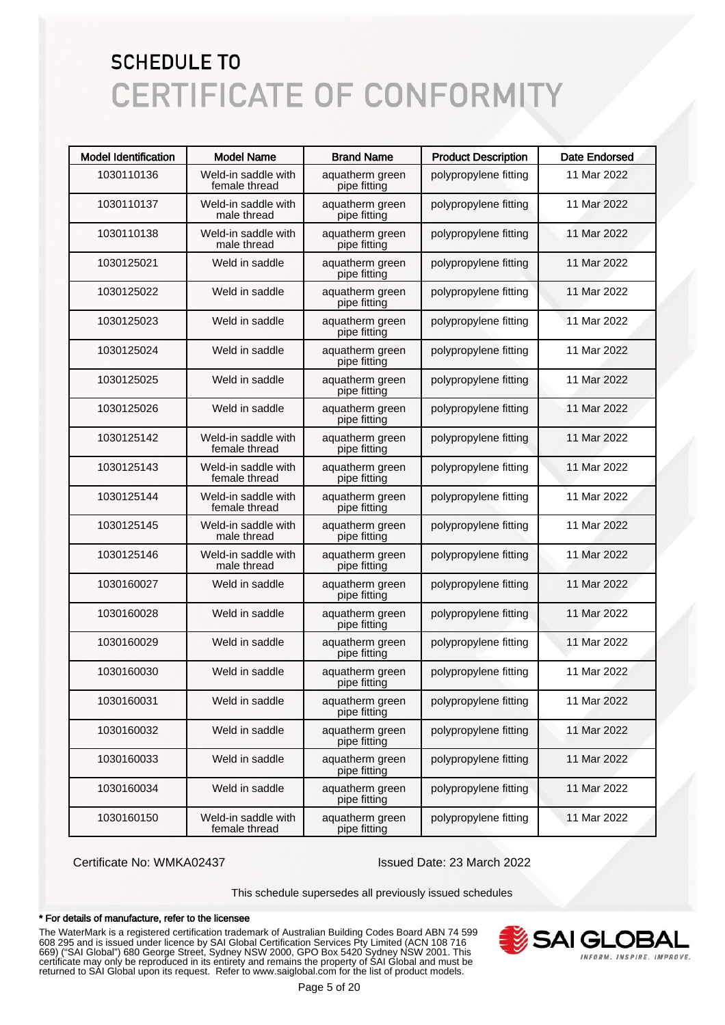| <b>Model Identification</b> | <b>Model Name</b>                    | <b>Brand Name</b>               | <b>Product Description</b> | <b>Date Endorsed</b> |
|-----------------------------|--------------------------------------|---------------------------------|----------------------------|----------------------|
| 1030110136                  | Weld-in saddle with<br>female thread | aquatherm green<br>pipe fitting | polypropylene fitting      | 11 Mar 2022          |
| 1030110137                  | Weld-in saddle with<br>male thread   | aquatherm green<br>pipe fitting | polypropylene fitting      | 11 Mar 2022          |
| 1030110138                  | Weld-in saddle with<br>male thread   | aquatherm green<br>pipe fitting | polypropylene fitting      | 11 Mar 2022          |
| 1030125021                  | Weld in saddle                       | aquatherm green<br>pipe fitting | polypropylene fitting      | 11 Mar 2022          |
| 1030125022                  | Weld in saddle                       | aquatherm green<br>pipe fitting | polypropylene fitting      | 11 Mar 2022          |
| 1030125023                  | Weld in saddle                       | aquatherm green<br>pipe fitting | polypropylene fitting      | 11 Mar 2022          |
| 1030125024                  | Weld in saddle                       | aquatherm green<br>pipe fitting | polypropylene fitting      | 11 Mar 2022          |
| 1030125025                  | Weld in saddle                       | aquatherm green<br>pipe fitting | polypropylene fitting      | 11 Mar 2022          |
| 1030125026                  | Weld in saddle                       | aquatherm green<br>pipe fitting | polypropylene fitting      | 11 Mar 2022          |
| 1030125142                  | Weld-in saddle with<br>female thread | aquatherm green<br>pipe fitting | polypropylene fitting      | 11 Mar 2022          |
| 1030125143                  | Weld-in saddle with<br>female thread | aquatherm green<br>pipe fitting | polypropylene fitting      | 11 Mar 2022          |
| 1030125144                  | Weld-in saddle with<br>female thread | aquatherm green<br>pipe fitting | polypropylene fitting      | 11 Mar 2022          |
| 1030125145                  | Weld-in saddle with<br>male thread   | aquatherm green<br>pipe fitting | polypropylene fitting      | 11 Mar 2022          |
| 1030125146                  | Weld-in saddle with<br>male thread   | aquatherm green<br>pipe fitting | polypropylene fitting      | 11 Mar 2022          |
| 1030160027                  | Weld in saddle                       | aquatherm green<br>pipe fitting | polypropylene fitting      | 11 Mar 2022          |
| 1030160028                  | Weld in saddle                       | aquatherm green<br>pipe fitting | polypropylene fitting      | 11 Mar 2022          |
| 1030160029                  | Weld in saddle                       | aquatherm green<br>pipe fitting | polypropylene fitting      | 11 Mar 2022          |
| 1030160030                  | Weld in saddle                       | aquatherm green<br>pipe fitting | polypropylene fitting      | 11 Mar 2022          |
| 1030160031                  | Weld in saddle                       | aquatherm green<br>pipe fitting | polypropylene fitting      | 11 Mar 2022          |
| 1030160032                  | Weld in saddle                       | aquatherm green<br>pipe fitting | polypropylene fitting      | 11 Mar 2022          |
| 1030160033                  | Weld in saddle                       | aquatherm green<br>pipe fitting | polypropylene fitting      | 11 Mar 2022          |
| 1030160034                  | Weld in saddle                       | aquatherm green<br>pipe fitting | polypropylene fitting      | 11 Mar 2022          |
| 1030160150                  | Weld-in saddle with<br>female thread | aquatherm green<br>pipe fitting | polypropylene fitting      | 11 Mar 2022          |

Certificate No: WMKA02437 Issued Date: 23 March 2022

This schedule supersedes all previously issued schedules

#### \* For details of manufacture, refer to the licensee

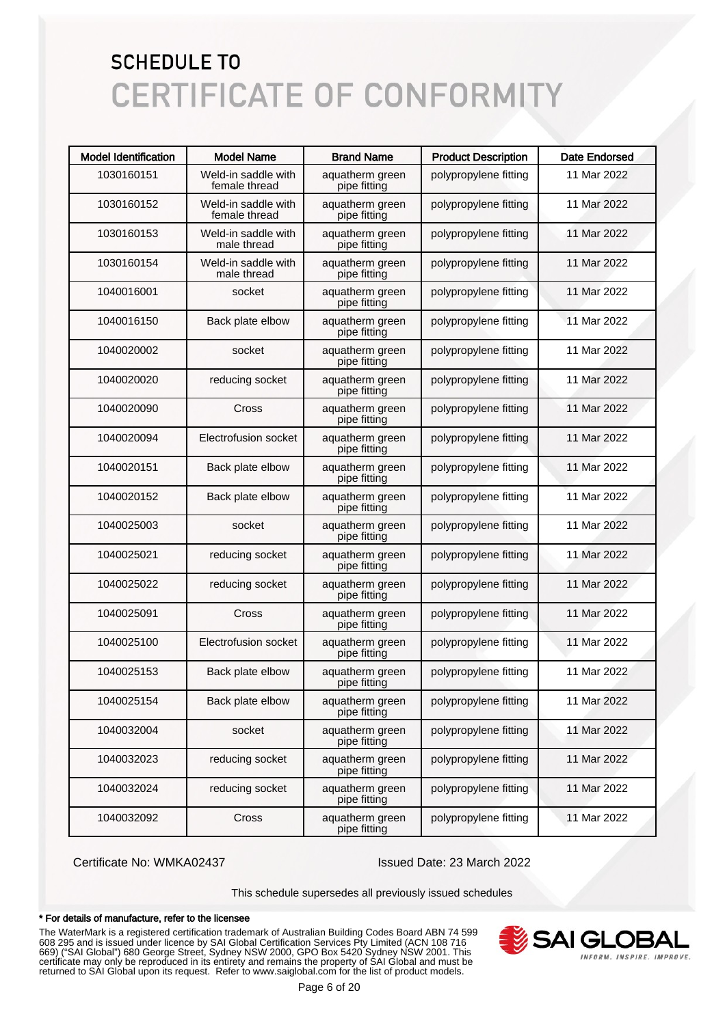| <b>Model Identification</b> | <b>Model Name</b>                    | <b>Brand Name</b>               | <b>Product Description</b> | <b>Date Endorsed</b> |
|-----------------------------|--------------------------------------|---------------------------------|----------------------------|----------------------|
| 1030160151                  | Weld-in saddle with<br>female thread | aquatherm green<br>pipe fitting | polypropylene fitting      | 11 Mar 2022          |
| 1030160152                  | Weld-in saddle with<br>female thread | aquatherm green<br>pipe fitting | polypropylene fitting      | 11 Mar 2022          |
| 1030160153                  | Weld-in saddle with<br>male thread   | aquatherm green<br>pipe fitting | polypropylene fitting      | 11 Mar 2022          |
| 1030160154                  | Weld-in saddle with<br>male thread   | aquatherm green<br>pipe fitting | polypropylene fitting      | 11 Mar 2022          |
| 1040016001                  | socket                               | aquatherm green<br>pipe fitting | polypropylene fitting      | 11 Mar 2022          |
| 1040016150                  | Back plate elbow                     | aquatherm green<br>pipe fitting | polypropylene fitting      | 11 Mar 2022          |
| 1040020002                  | socket                               | aquatherm green<br>pipe fitting | polypropylene fitting      | 11 Mar 2022          |
| 1040020020                  | reducing socket                      | aquatherm green<br>pipe fitting | polypropylene fitting      | 11 Mar 2022          |
| 1040020090                  | Cross                                | aquatherm green<br>pipe fitting | polypropylene fitting      | 11 Mar 2022          |
| 1040020094                  | Electrofusion socket                 | aquatherm green<br>pipe fitting | polypropylene fitting      | 11 Mar 2022          |
| 1040020151                  | Back plate elbow                     | aquatherm green<br>pipe fitting | polypropylene fitting      | 11 Mar 2022          |
| 1040020152                  | Back plate elbow                     | aquatherm green<br>pipe fitting | polypropylene fitting      | 11 Mar 2022          |
| 1040025003                  | socket                               | aquatherm green<br>pipe fitting | polypropylene fitting      | 11 Mar 2022          |
| 1040025021                  | reducing socket                      | aquatherm green<br>pipe fitting | polypropylene fitting      | 11 Mar 2022          |
| 1040025022                  | reducing socket                      | aquatherm green<br>pipe fitting | polypropylene fitting      | 11 Mar 2022          |
| 1040025091                  | Cross                                | aquatherm green<br>pipe fitting | polypropylene fitting      | 11 Mar 2022          |
| 1040025100                  | Electrofusion socket                 | aquatherm green<br>pipe fitting | polypropylene fitting      | 11 Mar 2022          |
| 1040025153                  | Back plate elbow                     | aquatherm green<br>pipe fitting | polypropylene fitting      | 11 Mar 2022          |
| 1040025154                  | Back plate elbow                     | aquatherm green<br>pipe fitting | polypropylene fitting      | 11 Mar 2022          |
| 1040032004                  | socket                               | aquatherm green<br>pipe fitting | polypropylene fitting      | 11 Mar 2022          |
| 1040032023                  | reducing socket                      | aquatherm green<br>pipe fitting | polypropylene fitting      | 11 Mar 2022          |
| 1040032024                  | reducing socket                      | aquatherm green<br>pipe fitting | polypropylene fitting      | 11 Mar 2022          |
| 1040032092                  | Cross                                | aquatherm green<br>pipe fitting | polypropylene fitting      | 11 Mar 2022          |

Certificate No: WMKA02437 Issued Date: 23 March 2022

This schedule supersedes all previously issued schedules

#### \* For details of manufacture, refer to the licensee

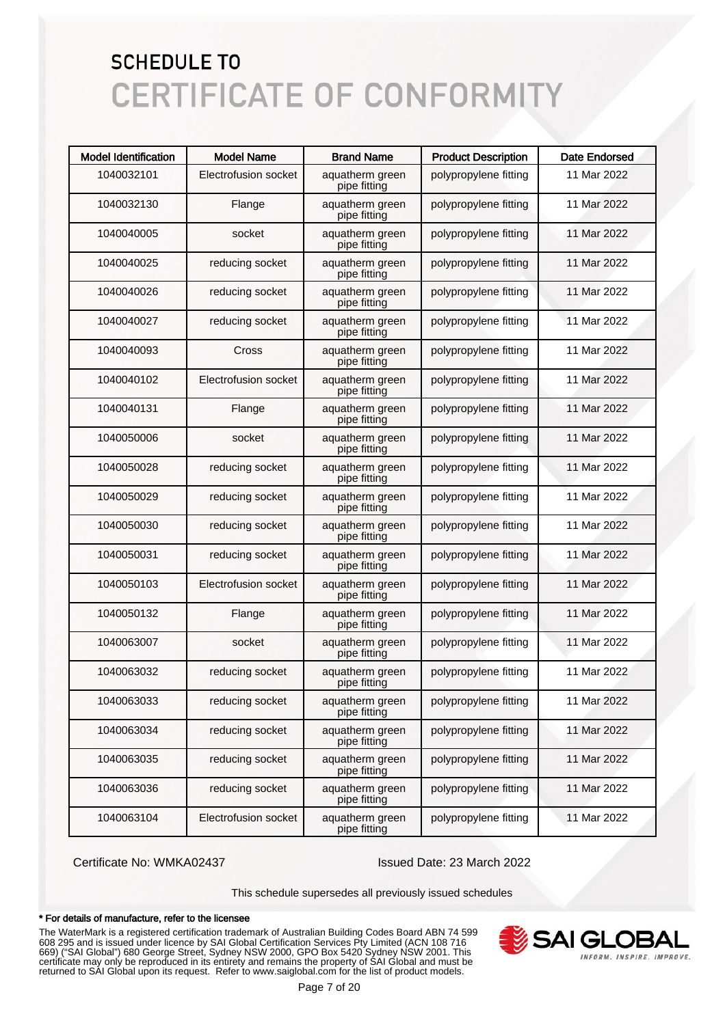| <b>Model Identification</b> | <b>Model Name</b>    | <b>Brand Name</b>               | <b>Product Description</b> | <b>Date Endorsed</b> |
|-----------------------------|----------------------|---------------------------------|----------------------------|----------------------|
| 1040032101                  | Electrofusion socket | aquatherm green<br>pipe fitting | polypropylene fitting      | 11 Mar 2022          |
| 1040032130                  | Flange               | aquatherm green<br>pipe fitting | polypropylene fitting      | 11 Mar 2022          |
| 1040040005                  | socket               | aquatherm green<br>pipe fitting | polypropylene fitting      | 11 Mar 2022          |
| 1040040025                  | reducing socket      | aquatherm green<br>pipe fitting | polypropylene fitting      | 11 Mar 2022          |
| 1040040026                  | reducing socket      | aquatherm green<br>pipe fitting | polypropylene fitting      | 11 Mar 2022          |
| 1040040027                  | reducing socket      | aquatherm green<br>pipe fitting | polypropylene fitting      | 11 Mar 2022          |
| 1040040093                  | Cross                | aquatherm green<br>pipe fitting | polypropylene fitting      | 11 Mar 2022          |
| 1040040102                  | Electrofusion socket | aquatherm green<br>pipe fitting | polypropylene fitting      | 11 Mar 2022          |
| 1040040131                  | Flange               | aquatherm green<br>pipe fitting | polypropylene fitting      | 11 Mar 2022          |
| 1040050006                  | socket               | aquatherm green<br>pipe fitting | polypropylene fitting      | 11 Mar 2022          |
| 1040050028                  | reducing socket      | aquatherm green<br>pipe fitting | polypropylene fitting      | 11 Mar 2022          |
| 1040050029                  | reducing socket      | aquatherm green<br>pipe fitting | polypropylene fitting      | 11 Mar 2022          |
| 1040050030                  | reducing socket      | aquatherm green<br>pipe fitting | polypropylene fitting      | 11 Mar 2022          |
| 1040050031                  | reducing socket      | aquatherm green<br>pipe fitting | polypropylene fitting      | 11 Mar 2022          |
| 1040050103                  | Electrofusion socket | aquatherm green<br>pipe fitting | polypropylene fitting      | 11 Mar 2022          |
| 1040050132                  | Flange               | aquatherm green<br>pipe fitting | polypropylene fitting      | 11 Mar 2022          |
| 1040063007                  | socket               | aquatherm green<br>pipe fitting | polypropylene fitting      | 11 Mar 2022          |
| 1040063032                  | reducing socket      | aquatherm green<br>pipe fitting | polypropylene fitting      | 11 Mar 2022          |
| 1040063033                  | reducing socket      | aquatherm green<br>pipe fitting | polypropylene fitting      | 11 Mar 2022          |
| 1040063034                  | reducing socket      | aquatherm green<br>pipe fitting | polypropylene fitting      | 11 Mar 2022          |
| 1040063035                  | reducing socket      | aquatherm green<br>pipe fitting | polypropylene fitting      | 11 Mar 2022          |
| 1040063036                  | reducing socket      | aquatherm green<br>pipe fitting | polypropylene fitting      | 11 Mar 2022          |
| 1040063104                  | Electrofusion socket | aquatherm green<br>pipe fitting | polypropylene fitting      | 11 Mar 2022          |

Certificate No: WMKA02437 Issued Date: 23 March 2022

This schedule supersedes all previously issued schedules

#### \* For details of manufacture, refer to the licensee

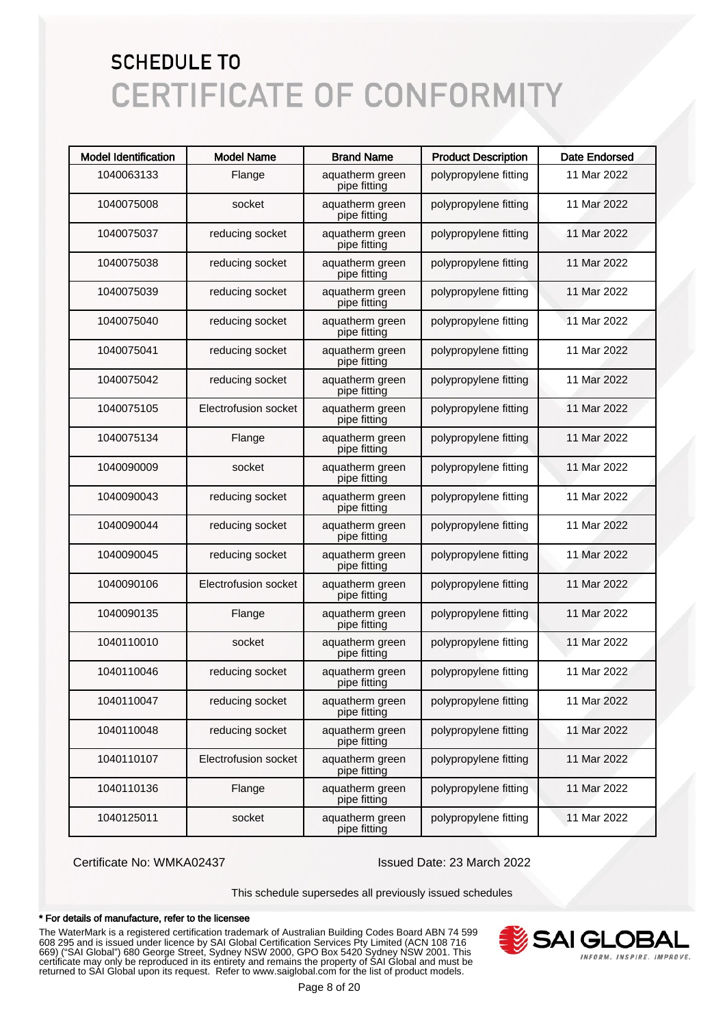| <b>Model Identification</b> | <b>Model Name</b>    | <b>Brand Name</b>               | <b>Product Description</b> | <b>Date Endorsed</b> |
|-----------------------------|----------------------|---------------------------------|----------------------------|----------------------|
| 1040063133                  | Flange               | aquatherm green<br>pipe fitting | polypropylene fitting      | 11 Mar 2022          |
| 1040075008                  | socket               | aquatherm green<br>pipe fitting | polypropylene fitting      | 11 Mar 2022          |
| 1040075037                  | reducing socket      | aquatherm green<br>pipe fitting | polypropylene fitting      | 11 Mar 2022          |
| 1040075038                  | reducing socket      | aquatherm green<br>pipe fitting | polypropylene fitting      | 11 Mar 2022          |
| 1040075039                  | reducing socket      | aquatherm green<br>pipe fitting | polypropylene fitting      | 11 Mar 2022          |
| 1040075040                  | reducing socket      | aquatherm green<br>pipe fitting | polypropylene fitting      | 11 Mar 2022          |
| 1040075041                  | reducing socket      | aquatherm green<br>pipe fitting | polypropylene fitting      | 11 Mar 2022          |
| 1040075042                  | reducing socket      | aquatherm green<br>pipe fitting | polypropylene fitting      | 11 Mar 2022          |
| 1040075105                  | Electrofusion socket | aquatherm green<br>pipe fitting | polypropylene fitting      | 11 Mar 2022          |
| 1040075134                  | Flange               | aquatherm green<br>pipe fitting | polypropylene fitting      | 11 Mar 2022          |
| 1040090009                  | socket               | aquatherm green<br>pipe fitting | polypropylene fitting      | 11 Mar 2022          |
| 1040090043                  | reducing socket      | aquatherm green<br>pipe fitting | polypropylene fitting      | 11 Mar 2022          |
| 1040090044                  | reducing socket      | aquatherm green<br>pipe fitting | polypropylene fitting      | 11 Mar 2022          |
| 1040090045                  | reducing socket      | aquatherm green<br>pipe fitting | polypropylene fitting      | 11 Mar 2022          |
| 1040090106                  | Electrofusion socket | aquatherm green<br>pipe fitting | polypropylene fitting      | 11 Mar 2022          |
| 1040090135                  | Flange               | aquatherm green<br>pipe fitting | polypropylene fitting      | 11 Mar 2022          |
| 1040110010                  | socket               | aquatherm green<br>pipe fitting | polypropylene fitting      | 11 Mar 2022          |
| 1040110046                  | reducing socket      | aquatherm green<br>pipe fitting | polypropylene fitting      | 11 Mar 2022          |
| 1040110047                  | reducing socket      | aquatherm green<br>pipe fitting | polypropylene fitting      | 11 Mar 2022          |
| 1040110048                  | reducing socket      | aquatherm green<br>pipe fitting | polypropylene fitting      | 11 Mar 2022          |
| 1040110107                  | Electrofusion socket | aquatherm green<br>pipe fitting | polypropylene fitting      | 11 Mar 2022          |
| 1040110136                  | Flange               | aquatherm green<br>pipe fitting | polypropylene fitting      | 11 Mar 2022          |
| 1040125011                  | socket               | aquatherm green<br>pipe fitting | polypropylene fitting      | 11 Mar 2022          |

Certificate No: WMKA02437 Issued Date: 23 March 2022

This schedule supersedes all previously issued schedules

#### \* For details of manufacture, refer to the licensee

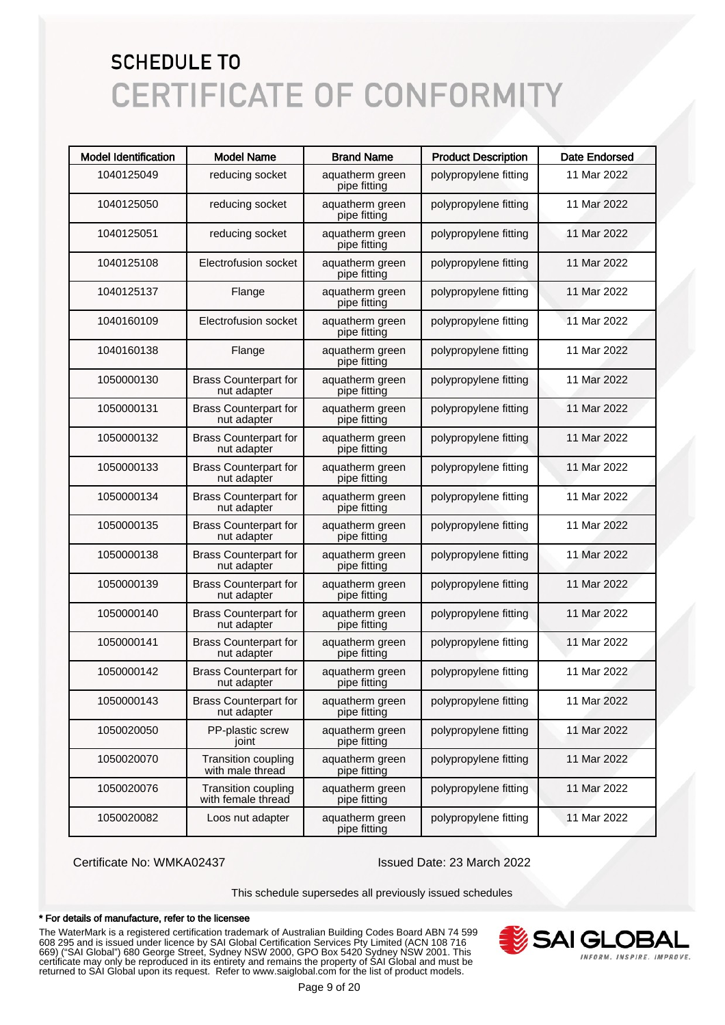| <b>Model Identification</b> | <b>Model Name</b>                                | <b>Brand Name</b>               | <b>Product Description</b> | <b>Date Endorsed</b> |
|-----------------------------|--------------------------------------------------|---------------------------------|----------------------------|----------------------|
| 1040125049                  | reducing socket                                  | aquatherm green<br>pipe fitting | polypropylene fitting      | 11 Mar 2022          |
| 1040125050                  | reducing socket                                  | aquatherm green<br>pipe fitting | polypropylene fitting      | 11 Mar 2022          |
| 1040125051                  | reducing socket                                  | aquatherm green<br>pipe fitting | polypropylene fitting      | 11 Mar 2022          |
| 1040125108                  | Electrofusion socket                             | aquatherm green<br>pipe fitting | polypropylene fitting      | 11 Mar 2022          |
| 1040125137                  | Flange                                           | aquatherm green<br>pipe fitting | polypropylene fitting      | 11 Mar 2022          |
| 1040160109                  | Electrofusion socket                             | aquatherm green<br>pipe fitting | polypropylene fitting      | 11 Mar 2022          |
| 1040160138                  | Flange                                           | aquatherm green<br>pipe fitting | polypropylene fitting      | 11 Mar 2022          |
| 1050000130                  | <b>Brass Counterpart for</b><br>nut adapter      | aquatherm green<br>pipe fitting | polypropylene fitting      | 11 Mar 2022          |
| 1050000131                  | <b>Brass Counterpart for</b><br>nut adapter      | aquatherm green<br>pipe fitting | polypropylene fitting      | 11 Mar 2022          |
| 1050000132                  | <b>Brass Counterpart for</b><br>nut adapter      | aquatherm green<br>pipe fitting | polypropylene fitting      | 11 Mar 2022          |
| 1050000133                  | <b>Brass Counterpart for</b><br>nut adapter      | aquatherm green<br>pipe fitting | polypropylene fitting      | 11 Mar 2022          |
| 1050000134                  | <b>Brass Counterpart for</b><br>nut adapter      | aquatherm green<br>pipe fitting | polypropylene fitting      | 11 Mar 2022          |
| 1050000135                  | <b>Brass Counterpart for</b><br>nut adapter      | aquatherm green<br>pipe fitting | polypropylene fitting      | 11 Mar 2022          |
| 1050000138                  | <b>Brass Counterpart for</b><br>nut adapter      | aquatherm green<br>pipe fitting | polypropylene fitting      | 11 Mar 2022          |
| 1050000139                  | <b>Brass Counterpart for</b><br>nut adapter      | aquatherm green<br>pipe fitting | polypropylene fitting      | 11 Mar 2022          |
| 1050000140                  | <b>Brass Counterpart for</b><br>nut adapter      | aquatherm green<br>pipe fitting | polypropylene fitting      | 11 Mar 2022          |
| 1050000141                  | <b>Brass Counterpart for</b><br>nut adapter      | aquatherm green<br>pipe fitting | polypropylene fitting      | 11 Mar 2022          |
| 1050000142                  | <b>Brass Counterpart for</b><br>nut adapter      | aquatherm green<br>pipe fitting | polypropylene fitting      | 11 Mar 2022          |
| 1050000143                  | <b>Brass Counterpart for</b><br>nut adapter      | aquatherm green<br>pipe fitting | polypropylene fitting      | 11 Mar 2022          |
| 1050020050                  | PP-plastic screw<br>joint                        | aquatherm green<br>pipe fitting | polypropylene fitting      | 11 Mar 2022          |
| 1050020070                  | <b>Transition coupling</b><br>with male thread   | aquatherm green<br>pipe fitting | polypropylene fitting      | 11 Mar 2022          |
| 1050020076                  | <b>Transition coupling</b><br>with female thread | aquatherm green<br>pipe fitting | polypropylene fitting      | 11 Mar 2022          |
| 1050020082                  | Loos nut adapter                                 | aquatherm green<br>pipe fitting | polypropylene fitting      | 11 Mar 2022          |

Certificate No: WMKA02437 Issued Date: 23 March 2022

This schedule supersedes all previously issued schedules

#### \* For details of manufacture, refer to the licensee

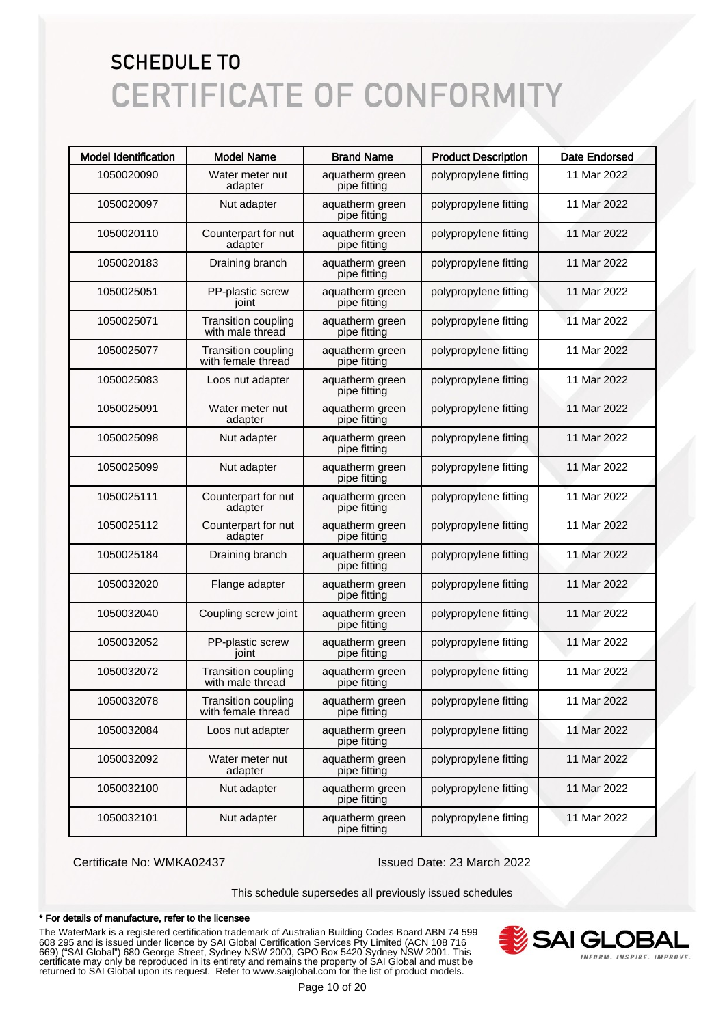| <b>Model Identification</b> | <b>Model Name</b>                                | <b>Brand Name</b>               | <b>Product Description</b> | <b>Date Endorsed</b> |
|-----------------------------|--------------------------------------------------|---------------------------------|----------------------------|----------------------|
| 1050020090                  | Water meter nut<br>adapter                       | aquatherm green<br>pipe fitting | polypropylene fitting      | 11 Mar 2022          |
| 1050020097                  | Nut adapter                                      | aquatherm green<br>pipe fitting | polypropylene fitting      | 11 Mar 2022          |
| 1050020110                  | Counterpart for nut<br>adapter                   | aquatherm green<br>pipe fitting | polypropylene fitting      | 11 Mar 2022          |
| 1050020183                  | Draining branch                                  | aquatherm green<br>pipe fitting | polypropylene fitting      | 11 Mar 2022          |
| 1050025051                  | PP-plastic screw<br>joint                        | aquatherm green<br>pipe fitting | polypropylene fitting      | 11 Mar 2022          |
| 1050025071                  | <b>Transition coupling</b><br>with male thread   | aquatherm green<br>pipe fitting | polypropylene fitting      | 11 Mar 2022          |
| 1050025077                  | <b>Transition coupling</b><br>with female thread | aquatherm green<br>pipe fitting | polypropylene fitting      | 11 Mar 2022          |
| 1050025083                  | Loos nut adapter                                 | aquatherm green<br>pipe fitting | polypropylene fitting      | 11 Mar 2022          |
| 1050025091                  | Water meter nut<br>adapter                       | aquatherm green<br>pipe fitting | polypropylene fitting      | 11 Mar 2022          |
| 1050025098                  | Nut adapter                                      | aquatherm green<br>pipe fitting | polypropylene fitting      | 11 Mar 2022          |
| 1050025099                  | Nut adapter                                      | aquatherm green<br>pipe fitting | polypropylene fitting      | 11 Mar 2022          |
| 1050025111                  | Counterpart for nut<br>adapter                   | aquatherm green<br>pipe fitting | polypropylene fitting      | 11 Mar 2022          |
| 1050025112                  | Counterpart for nut<br>adapter                   | aquatherm green<br>pipe fitting | polypropylene fitting      | 11 Mar 2022          |
| 1050025184                  | Draining branch                                  | aquatherm green<br>pipe fitting | polypropylene fitting      | 11 Mar 2022          |
| 1050032020                  | Flange adapter                                   | aquatherm green<br>pipe fitting | polypropylene fitting      | 11 Mar 2022          |
| 1050032040                  | Coupling screw joint                             | aquatherm green<br>pipe fitting | polypropylene fitting      | 11 Mar 2022          |
| 1050032052                  | PP-plastic screw<br>joint                        | aquatherm green<br>pipe fitting | polypropylene fitting      | 11 Mar 2022          |
| 1050032072                  | <b>Transition coupling</b><br>with male thread   | aquatherm green<br>pipe fitting | polypropylene fitting      | 11 Mar 2022          |
| 1050032078                  | <b>Transition coupling</b><br>with female thread | aquatherm green<br>pipe fitting | polypropylene fitting      | 11 Mar 2022          |
| 1050032084                  | Loos nut adapter                                 | aquatherm green<br>pipe fitting | polypropylene fitting      | 11 Mar 2022          |
| 1050032092                  | Water meter nut<br>adapter                       | aquatherm green<br>pipe fitting | polypropylene fitting      | 11 Mar 2022          |
| 1050032100                  | Nut adapter                                      | aquatherm green<br>pipe fitting | polypropylene fitting      | 11 Mar 2022          |
| 1050032101                  | Nut adapter                                      | aquatherm green<br>pipe fitting | polypropylene fitting      | 11 Mar 2022          |

Certificate No: WMKA02437 Issued Date: 23 March 2022

This schedule supersedes all previously issued schedules

#### \* For details of manufacture, refer to the licensee

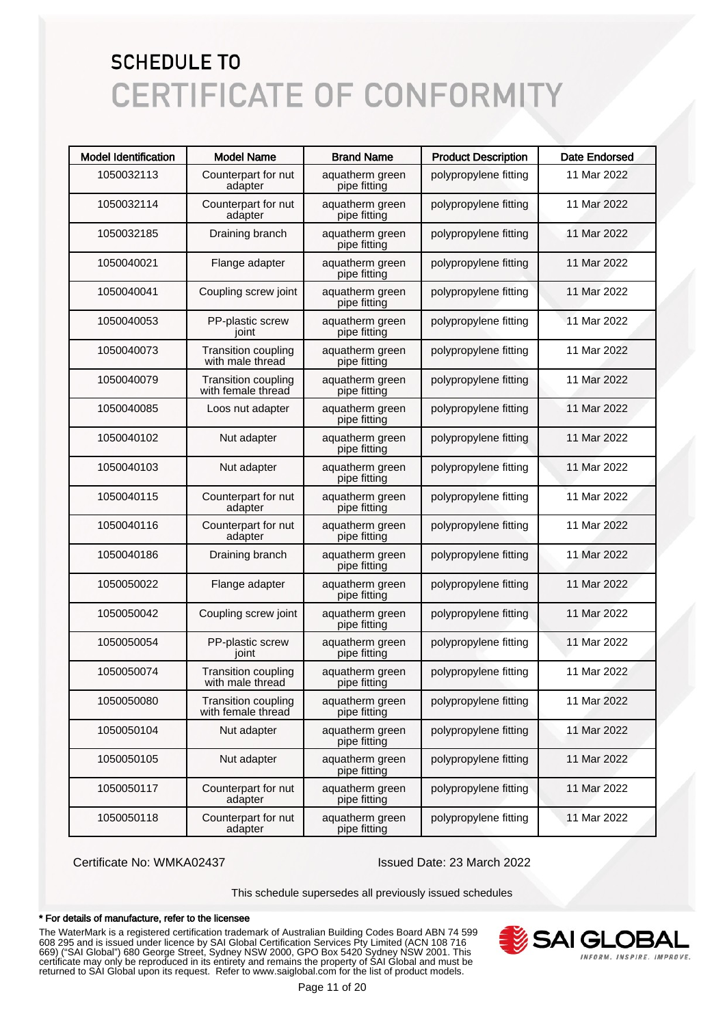| <b>Model Identification</b> | <b>Model Name</b>                                | <b>Brand Name</b>               | <b>Product Description</b> | <b>Date Endorsed</b> |
|-----------------------------|--------------------------------------------------|---------------------------------|----------------------------|----------------------|
| 1050032113                  | Counterpart for nut<br>adapter                   | aquatherm green<br>pipe fitting | polypropylene fitting      | 11 Mar 2022          |
| 1050032114                  | Counterpart for nut<br>adapter                   | aquatherm green<br>pipe fitting | polypropylene fitting      | 11 Mar 2022          |
| 1050032185                  | Draining branch                                  | aquatherm green<br>pipe fitting | polypropylene fitting      | 11 Mar 2022          |
| 1050040021                  | Flange adapter                                   | aquatherm green<br>pipe fitting | polypropylene fitting      | 11 Mar 2022          |
| 1050040041                  | Coupling screw joint                             | aquatherm green<br>pipe fitting | polypropylene fitting      | 11 Mar 2022          |
| 1050040053                  | PP-plastic screw<br>joint                        | aquatherm green<br>pipe fitting | polypropylene fitting      | 11 Mar 2022          |
| 1050040073                  | <b>Transition coupling</b><br>with male thread   | aquatherm green<br>pipe fitting | polypropylene fitting      | 11 Mar 2022          |
| 1050040079                  | <b>Transition coupling</b><br>with female thread | aquatherm green<br>pipe fitting | polypropylene fitting      | 11 Mar 2022          |
| 1050040085                  | Loos nut adapter                                 | aquatherm green<br>pipe fitting | polypropylene fitting      | 11 Mar 2022          |
| 1050040102                  | Nut adapter                                      | aquatherm green<br>pipe fitting | polypropylene fitting      | 11 Mar 2022          |
| 1050040103                  | Nut adapter                                      | aquatherm green<br>pipe fitting | polypropylene fitting      | 11 Mar 2022          |
| 1050040115                  | Counterpart for nut<br>adapter                   | aquatherm green<br>pipe fitting | polypropylene fitting      | 11 Mar 2022          |
| 1050040116                  | Counterpart for nut<br>adapter                   | aquatherm green<br>pipe fitting | polypropylene fitting      | 11 Mar 2022          |
| 1050040186                  | Draining branch                                  | aquatherm green<br>pipe fitting | polypropylene fitting      | 11 Mar 2022          |
| 1050050022                  | Flange adapter                                   | aquatherm green<br>pipe fitting | polypropylene fitting      | 11 Mar 2022          |
| 1050050042                  | Coupling screw joint                             | aquatherm green<br>pipe fitting | polypropylene fitting      | 11 Mar 2022          |
| 1050050054                  | PP-plastic screw<br>joint                        | aquatherm green<br>pipe fitting | polypropylene fitting      | 11 Mar 2022          |
| 1050050074                  | <b>Transition coupling</b><br>with male thread   | aquatherm green<br>pipe fitting | polypropylene fitting      | 11 Mar 2022          |
| 1050050080                  | <b>Transition coupling</b><br>with female thread | aquatherm green<br>pipe fitting | polypropylene fitting      | 11 Mar 2022          |
| 1050050104                  | Nut adapter                                      | aquatherm green<br>pipe fitting | polypropylene fitting      | 11 Mar 2022          |
| 1050050105                  | Nut adapter                                      | aquatherm green<br>pipe fitting | polypropylene fitting      | 11 Mar 2022          |
| 1050050117                  | Counterpart for nut<br>adapter                   | aquatherm green<br>pipe fitting | polypropylene fitting      | 11 Mar 2022          |
| 1050050118                  | Counterpart for nut<br>adapter                   | aquatherm green<br>pipe fitting | polypropylene fitting      | 11 Mar 2022          |

Certificate No: WMKA02437 Issued Date: 23 March 2022

This schedule supersedes all previously issued schedules

#### \* For details of manufacture, refer to the licensee

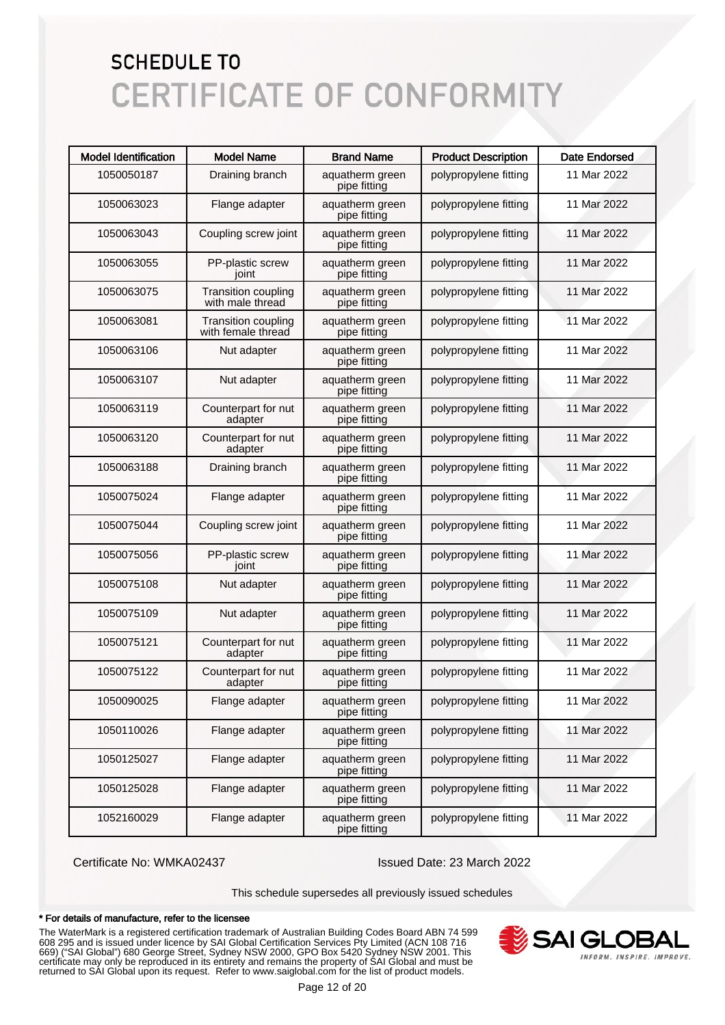| <b>Model Identification</b> | <b>Model Name</b>                                | <b>Brand Name</b>               | <b>Product Description</b> | <b>Date Endorsed</b> |
|-----------------------------|--------------------------------------------------|---------------------------------|----------------------------|----------------------|
| 1050050187                  | Draining branch                                  | aquatherm green<br>pipe fitting | polypropylene fitting      | 11 Mar 2022          |
| 1050063023                  | Flange adapter                                   | aquatherm green<br>pipe fitting | polypropylene fitting      | 11 Mar 2022          |
| 1050063043                  | Coupling screw joint                             | aquatherm green<br>pipe fitting | polypropylene fitting      | 11 Mar 2022          |
| 1050063055                  | PP-plastic screw<br>joint                        | aquatherm green<br>pipe fitting | polypropylene fitting      | 11 Mar 2022          |
| 1050063075                  | <b>Transition coupling</b><br>with male thread   | aquatherm green<br>pipe fitting | polypropylene fitting      | 11 Mar 2022          |
| 1050063081                  | <b>Transition coupling</b><br>with female thread | aquatherm green<br>pipe fitting | polypropylene fitting      | 11 Mar 2022          |
| 1050063106                  | Nut adapter                                      | aquatherm green<br>pipe fitting | polypropylene fitting      | 11 Mar 2022          |
| 1050063107                  | Nut adapter                                      | aquatherm green<br>pipe fitting | polypropylene fitting      | 11 Mar 2022          |
| 1050063119                  | Counterpart for nut<br>adapter                   | aquatherm green<br>pipe fitting | polypropylene fitting      | 11 Mar 2022          |
| 1050063120                  | Counterpart for nut<br>adapter                   | aquatherm green<br>pipe fitting | polypropylene fitting      | 11 Mar 2022          |
| 1050063188                  | Draining branch                                  | aquatherm green<br>pipe fitting | polypropylene fitting      | 11 Mar 2022          |
| 1050075024                  | Flange adapter                                   | aquatherm green<br>pipe fitting | polypropylene fitting      | 11 Mar 2022          |
| 1050075044                  | Coupling screw joint                             | aquatherm green<br>pipe fitting | polypropylene fitting      | 11 Mar 2022          |
| 1050075056                  | PP-plastic screw<br>joint                        | aquatherm green<br>pipe fitting | polypropylene fitting      | 11 Mar 2022          |
| 1050075108                  | Nut adapter                                      | aquatherm green<br>pipe fitting | polypropylene fitting      | 11 Mar 2022          |
| 1050075109                  | Nut adapter                                      | aquatherm green<br>pipe fitting | polypropylene fitting      | 11 Mar 2022          |
| 1050075121                  | Counterpart for nut<br>adapter                   | aquatherm green<br>pipe fitting | polypropylene fitting      | 11 Mar 2022          |
| 1050075122                  | Counterpart for nut<br>adapter                   | aquatherm green<br>pipe fitting | polypropylene fitting      | 11 Mar 2022          |
| 1050090025                  | Flange adapter                                   | aquatherm green<br>pipe fitting | polypropylene fitting      | 11 Mar 2022          |
| 1050110026                  | Flange adapter                                   | aquatherm green<br>pipe fitting | polypropylene fitting      | 11 Mar 2022          |
| 1050125027                  | Flange adapter                                   | aquatherm green<br>pipe fitting | polypropylene fitting      | 11 Mar 2022          |
| 1050125028                  | Flange adapter                                   | aquatherm green<br>pipe fitting | polypropylene fitting      | 11 Mar 2022          |
| 1052160029                  | Flange adapter                                   | aquatherm green<br>pipe fitting | polypropylene fitting      | 11 Mar 2022          |

Certificate No: WMKA02437 Issued Date: 23 March 2022

This schedule supersedes all previously issued schedules

#### \* For details of manufacture, refer to the licensee

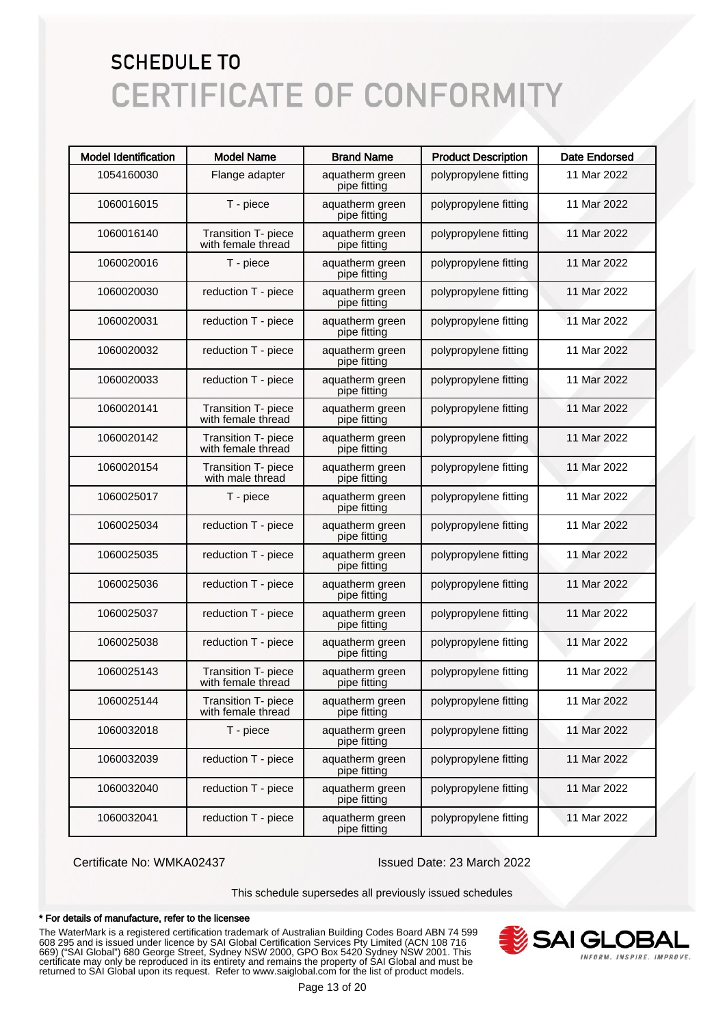| <b>Model Identification</b> | <b>Model Name</b>                         | <b>Brand Name</b>               | <b>Product Description</b> | <b>Date Endorsed</b> |
|-----------------------------|-------------------------------------------|---------------------------------|----------------------------|----------------------|
| 1054160030                  | Flange adapter                            | aquatherm green<br>pipe fitting | polypropylene fitting      | 11 Mar 2022          |
| 1060016015                  | T - piece                                 | aquatherm green<br>pipe fitting | polypropylene fitting      | 11 Mar 2022          |
| 1060016140                  | Transition T- piece<br>with female thread | aquatherm green<br>pipe fitting | polypropylene fitting      | 11 Mar 2022          |
| 1060020016                  | T - piece                                 | aquatherm green<br>pipe fitting | polypropylene fitting      | 11 Mar 2022          |
| 1060020030                  | reduction T - piece                       | aquatherm green<br>pipe fitting | polypropylene fitting      | 11 Mar 2022          |
| 1060020031                  | reduction T - piece                       | aquatherm green<br>pipe fitting | polypropylene fitting      | 11 Mar 2022          |
| 1060020032                  | reduction T - piece                       | aquatherm green<br>pipe fitting | polypropylene fitting      | 11 Mar 2022          |
| 1060020033                  | reduction T - piece                       | aquatherm green<br>pipe fitting | polypropylene fitting      | 11 Mar 2022          |
| 1060020141                  | Transition T- piece<br>with female thread | aquatherm green<br>pipe fitting | polypropylene fitting      | 11 Mar 2022          |
| 1060020142                  | Transition T- piece<br>with female thread | aquatherm green<br>pipe fitting | polypropylene fitting      | 11 Mar 2022          |
| 1060020154                  | Transition T- piece<br>with male thread   | aquatherm green<br>pipe fitting | polypropylene fitting      | 11 Mar 2022          |
| 1060025017                  | T - piece                                 | aquatherm green<br>pipe fitting | polypropylene fitting      | 11 Mar 2022          |
| 1060025034                  | reduction T - piece                       | aquatherm green<br>pipe fitting | polypropylene fitting      | 11 Mar 2022          |
| 1060025035                  | reduction T - piece                       | aquatherm green<br>pipe fitting | polypropylene fitting      | 11 Mar 2022          |
| 1060025036                  | reduction T - piece                       | aquatherm green<br>pipe fitting | polypropylene fitting      | 11 Mar 2022          |
| 1060025037                  | reduction T - piece                       | aquatherm green<br>pipe fitting | polypropylene fitting      | 11 Mar 2022          |
| 1060025038                  | reduction T - piece                       | aquatherm green<br>pipe fitting | polypropylene fitting      | 11 Mar 2022          |
| 1060025143                  | Transition T- piece<br>with female thread | aquatherm green<br>pipe fitting | polypropylene fitting      | 11 Mar 2022          |
| 1060025144                  | Transition T- piece<br>with female thread | aquatherm green<br>pipe fitting | polypropylene fitting      | 11 Mar 2022          |
| 1060032018                  | T - piece                                 | aquatherm green<br>pipe fitting | polypropylene fitting      | 11 Mar 2022          |
| 1060032039                  | reduction T - piece                       | aquatherm green<br>pipe fitting | polypropylene fitting      | 11 Mar 2022          |
| 1060032040                  | reduction T - piece                       | aquatherm green<br>pipe fitting | polypropylene fitting      | 11 Mar 2022          |
| 1060032041                  | reduction T - piece                       | aquatherm green<br>pipe fitting | polypropylene fitting      | 11 Mar 2022          |

Certificate No: WMKA02437 Issued Date: 23 March 2022

This schedule supersedes all previously issued schedules

#### \* For details of manufacture, refer to the licensee

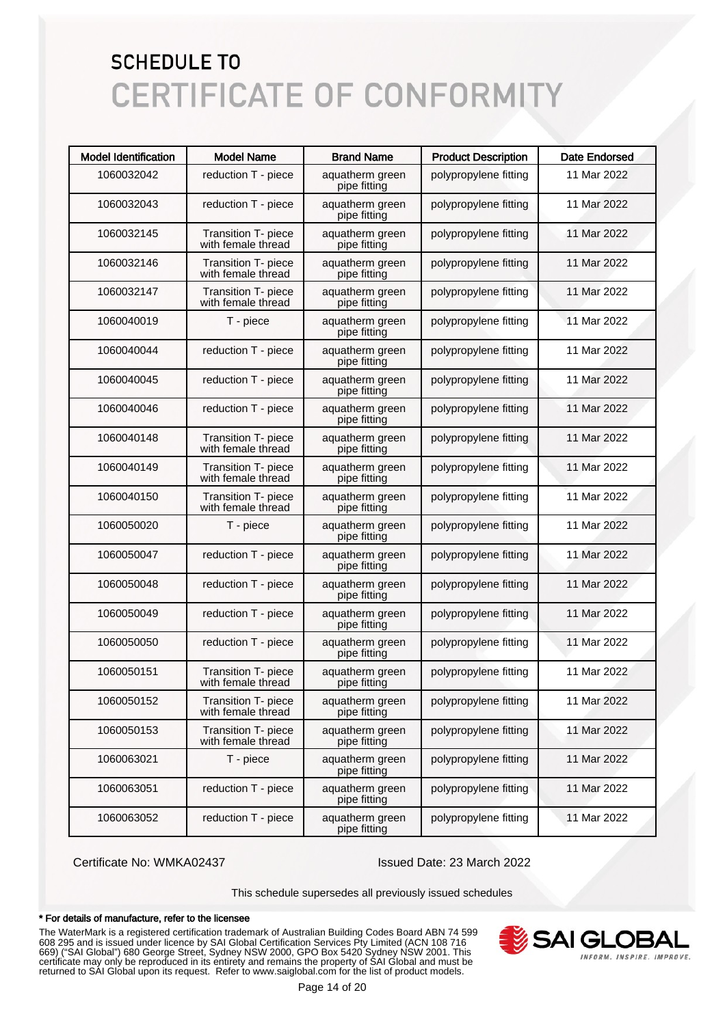| <b>Model Identification</b> | <b>Model Name</b>                         | <b>Brand Name</b>               | <b>Product Description</b> | <b>Date Endorsed</b> |
|-----------------------------|-------------------------------------------|---------------------------------|----------------------------|----------------------|
| 1060032042                  | reduction T - piece                       | aquatherm green<br>pipe fitting | polypropylene fitting      | 11 Mar 2022          |
| 1060032043                  | reduction T - piece                       | aquatherm green<br>pipe fitting | polypropylene fitting      | 11 Mar 2022          |
| 1060032145                  | Transition T- piece<br>with female thread | aquatherm green<br>pipe fitting | polypropylene fitting      | 11 Mar 2022          |
| 1060032146                  | Transition T- piece<br>with female thread | aquatherm green<br>pipe fitting | polypropylene fitting      | 11 Mar 2022          |
| 1060032147                  | Transition T- piece<br>with female thread | aquatherm green<br>pipe fitting | polypropylene fitting      | 11 Mar 2022          |
| 1060040019                  | T - piece                                 | aquatherm green<br>pipe fitting | polypropylene fitting      | 11 Mar 2022          |
| 1060040044                  | reduction T - piece                       | aquatherm green<br>pipe fitting | polypropylene fitting      | 11 Mar 2022          |
| 1060040045                  | reduction T - piece                       | aquatherm green<br>pipe fitting | polypropylene fitting      | 11 Mar 2022          |
| 1060040046                  | reduction T - piece                       | aquatherm green<br>pipe fitting | polypropylene fitting      | 11 Mar 2022          |
| 1060040148                  | Transition T- piece<br>with female thread | aquatherm green<br>pipe fitting | polypropylene fitting      | 11 Mar 2022          |
| 1060040149                  | Transition T- piece<br>with female thread | aquatherm green<br>pipe fitting | polypropylene fitting      | 11 Mar 2022          |
| 1060040150                  | Transition T- piece<br>with female thread | aquatherm green<br>pipe fitting | polypropylene fitting      | 11 Mar 2022          |
| 1060050020                  | T - piece                                 | aquatherm green<br>pipe fitting | polypropylene fitting      | 11 Mar 2022          |
| 1060050047                  | reduction T - piece                       | aquatherm green<br>pipe fitting | polypropylene fitting      | 11 Mar 2022          |
| 1060050048                  | reduction T - piece                       | aquatherm green<br>pipe fitting | polypropylene fitting      | 11 Mar 2022          |
| 1060050049                  | reduction T - piece                       | aquatherm green<br>pipe fitting | polypropylene fitting      | 11 Mar 2022          |
| 1060050050                  | reduction T - piece                       | aquatherm green<br>pipe fitting | polypropylene fitting      | 11 Mar 2022          |
| 1060050151                  | Transition T- piece<br>with female thread | aquatherm green<br>pipe fitting | polypropylene fitting      | 11 Mar 2022          |
| 1060050152                  | Transition T- piece<br>with female thread | aquatherm green<br>pipe fitting | polypropylene fitting      | 11 Mar 2022          |
| 1060050153                  | Transition T- piece<br>with female thread | aquatherm green<br>pipe fitting | polypropylene fitting      | 11 Mar 2022          |
| 1060063021                  | T - piece                                 | aquatherm green<br>pipe fitting | polypropylene fitting      | 11 Mar 2022          |
| 1060063051                  | reduction T - piece                       | aquatherm green<br>pipe fitting | polypropylene fitting      | 11 Mar 2022          |
| 1060063052                  | reduction T - piece                       | aquatherm green<br>pipe fitting | polypropylene fitting      | 11 Mar 2022          |

Certificate No: WMKA02437 Issued Date: 23 March 2022

This schedule supersedes all previously issued schedules

#### \* For details of manufacture, refer to the licensee

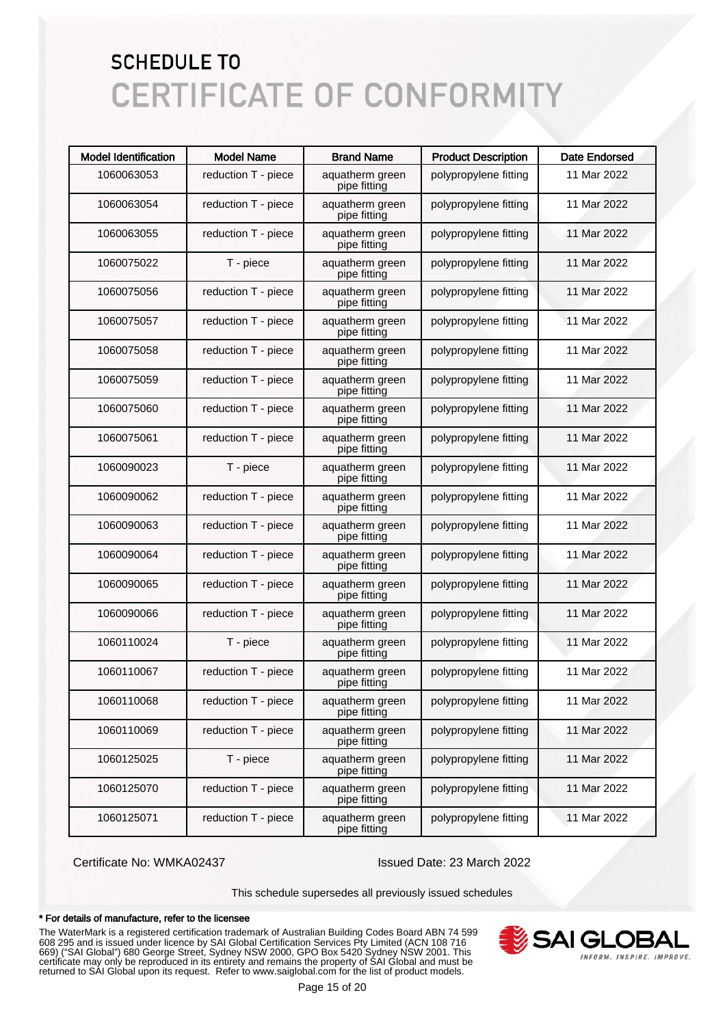| <b>Model Identification</b> | <b>Model Name</b>   | <b>Brand Name</b>               | <b>Product Description</b> | <b>Date Endorsed</b> |
|-----------------------------|---------------------|---------------------------------|----------------------------|----------------------|
| 1060063053                  | reduction T - piece | aquatherm green<br>pipe fitting | polypropylene fitting      | 11 Mar 2022          |
| 1060063054                  | reduction T - piece | aquatherm green<br>pipe fitting | polypropylene fitting      | 11 Mar 2022          |
| 1060063055                  | reduction T - piece | aquatherm green<br>pipe fitting | polypropylene fitting      | 11 Mar 2022          |
| 1060075022                  | T - piece           | aquatherm green<br>pipe fitting | polypropylene fitting      | 11 Mar 2022          |
| 1060075056                  | reduction T - piece | aquatherm green<br>pipe fitting | polypropylene fitting      | 11 Mar 2022          |
| 1060075057                  | reduction T - piece | aquatherm green<br>pipe fitting | polypropylene fitting      | 11 Mar 2022          |
| 1060075058                  | reduction T - piece | aquatherm green<br>pipe fitting | polypropylene fitting      | 11 Mar 2022          |
| 1060075059                  | reduction T - piece | aquatherm green<br>pipe fitting | polypropylene fitting      | 11 Mar 2022          |
| 1060075060                  | reduction T - piece | aquatherm green<br>pipe fitting | polypropylene fitting      | 11 Mar 2022          |
| 1060075061                  | reduction T - piece | aquatherm green<br>pipe fitting | polypropylene fitting      | 11 Mar 2022          |
| 1060090023                  | T - piece           | aquatherm green<br>pipe fitting | polypropylene fitting      | 11 Mar 2022          |
| 1060090062                  | reduction T - piece | aquatherm green<br>pipe fitting | polypropylene fitting      | 11 Mar 2022          |
| 1060090063                  | reduction T - piece | aquatherm green<br>pipe fitting | polypropylene fitting      | 11 Mar 2022          |
| 1060090064                  | reduction T - piece | aquatherm green<br>pipe fitting | polypropylene fitting      | 11 Mar 2022          |
| 1060090065                  | reduction T - piece | aquatherm green<br>pipe fitting | polypropylene fitting      | 11 Mar 2022          |
| 1060090066                  | reduction T - piece | aquatherm green<br>pipe fitting | polypropylene fitting      | 11 Mar 2022          |
| 1060110024                  | T - piece           | aquatherm green<br>pipe fitting | polypropylene fitting      | 11 Mar 2022          |
| 1060110067                  | reduction T - piece | aquatherm green<br>pipe fitting | polypropylene fitting      | 11 Mar 2022          |
| 1060110068                  | reduction T - piece | aquatherm green<br>pipe fitting | polypropylene fitting      | 11 Mar 2022          |
| 1060110069                  | reduction T - piece | aquatherm green<br>pipe fitting | polypropylene fitting      | 11 Mar 2022          |
| 1060125025                  | T - piece           | aquatherm green<br>pipe fitting | polypropylene fitting      | 11 Mar 2022          |
| 1060125070                  | reduction T - piece | aquatherm green<br>pipe fitting | polypropylene fitting      | 11 Mar 2022          |
| 1060125071                  | reduction T - piece | aquatherm green<br>pipe fitting | polypropylene fitting      | 11 Mar 2022          |

Certificate No: WMKA02437 Issued Date: 23 March 2022

This schedule supersedes all previously issued schedules

#### \* For details of manufacture, refer to the licensee

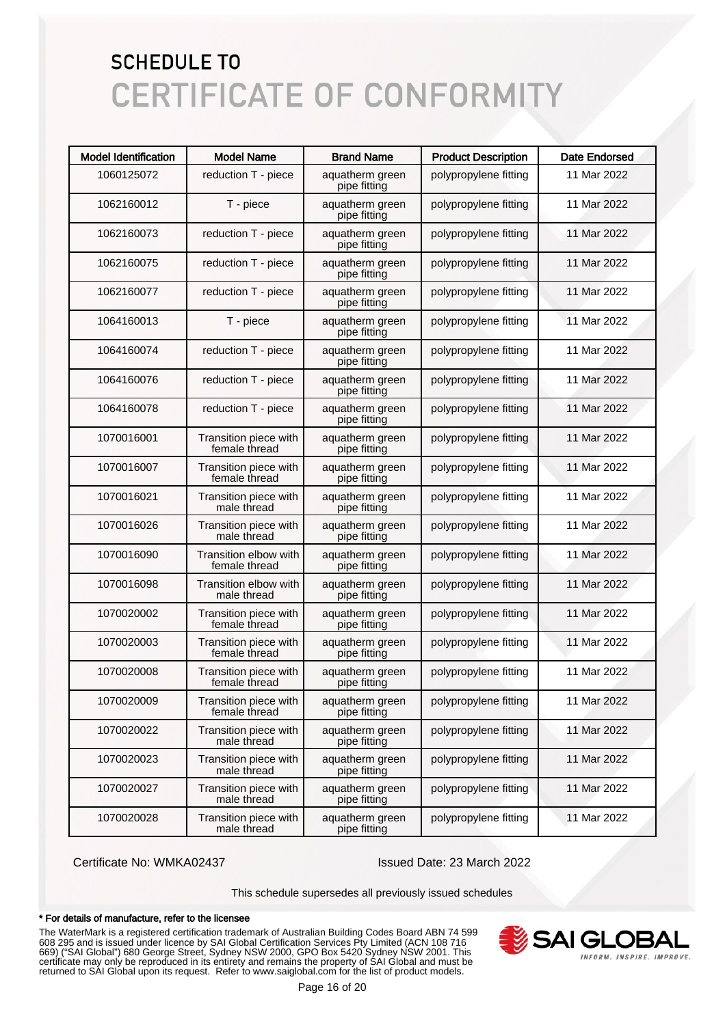| <b>Model Identification</b> | <b>Model Name</b>                      | <b>Brand Name</b>               | <b>Product Description</b> | <b>Date Endorsed</b> |
|-----------------------------|----------------------------------------|---------------------------------|----------------------------|----------------------|
| 1060125072                  | reduction T - piece                    | aquatherm green<br>pipe fitting | polypropylene fitting      | 11 Mar 2022          |
| 1062160012                  | T - piece                              | aquatherm green<br>pipe fitting | polypropylene fitting      | 11 Mar 2022          |
| 1062160073                  | reduction T - piece                    | aquatherm green<br>pipe fitting | polypropylene fitting      | 11 Mar 2022          |
| 1062160075                  | reduction T - piece                    | aquatherm green<br>pipe fitting | polypropylene fitting      | 11 Mar 2022          |
| 1062160077                  | reduction T - piece                    | aquatherm green<br>pipe fitting | polypropylene fitting      | 11 Mar 2022          |
| 1064160013                  | T - piece                              | aquatherm green<br>pipe fitting | polypropylene fitting      | 11 Mar 2022          |
| 1064160074                  | reduction T - piece                    | aquatherm green<br>pipe fitting | polypropylene fitting      | 11 Mar 2022          |
| 1064160076                  | reduction T - piece                    | aquatherm green<br>pipe fitting | polypropylene fitting      | 11 Mar 2022          |
| 1064160078                  | reduction T - piece                    | aquatherm green<br>pipe fitting | polypropylene fitting      | 11 Mar 2022          |
| 1070016001                  | Transition piece with<br>female thread | aquatherm green<br>pipe fitting | polypropylene fitting      | 11 Mar 2022          |
| 1070016007                  | Transition piece with<br>female thread | aquatherm green<br>pipe fitting | polypropylene fitting      | 11 Mar 2022          |
| 1070016021                  | Transition piece with<br>male thread   | aquatherm green<br>pipe fitting | polypropylene fitting      | 11 Mar 2022          |
| 1070016026                  | Transition piece with<br>male thread   | aquatherm green<br>pipe fitting | polypropylene fitting      | 11 Mar 2022          |
| 1070016090                  | Transition elbow with<br>female thread | aquatherm green<br>pipe fitting | polypropylene fitting      | 11 Mar 2022          |
| 1070016098                  | Transition elbow with<br>male thread   | aquatherm green<br>pipe fitting | polypropylene fitting      | 11 Mar 2022          |
| 1070020002                  | Transition piece with<br>female thread | aquatherm green<br>pipe fitting | polypropylene fitting      | 11 Mar 2022          |
| 1070020003                  | Transition piece with<br>female thread | aquatherm green<br>pipe fitting | polypropylene fitting      | 11 Mar 2022          |
| 1070020008                  | Transition piece with<br>female thread | aquatherm green<br>pipe fitting | polypropylene fitting      | 11 Mar 2022          |
| 1070020009                  | Transition piece with<br>female thread | aquatherm green<br>pipe fitting | polypropylene fitting      | 11 Mar 2022          |
| 1070020022                  | Transition piece with<br>male thread   | aquatherm green<br>pipe fitting | polypropylene fitting      | 11 Mar 2022          |
| 1070020023                  | Transition piece with<br>male thread   | aquatherm green<br>pipe fitting | polypropylene fitting      | 11 Mar 2022          |
| 1070020027                  | Transition piece with<br>male thread   | aquatherm green<br>pipe fitting | polypropylene fitting      | 11 Mar 2022          |
| 1070020028                  | Transition piece with<br>male thread   | aquatherm green<br>pipe fitting | polypropylene fitting      | 11 Mar 2022          |

Certificate No: WMKA02437 Issued Date: 23 March 2022

This schedule supersedes all previously issued schedules

#### \* For details of manufacture, refer to the licensee

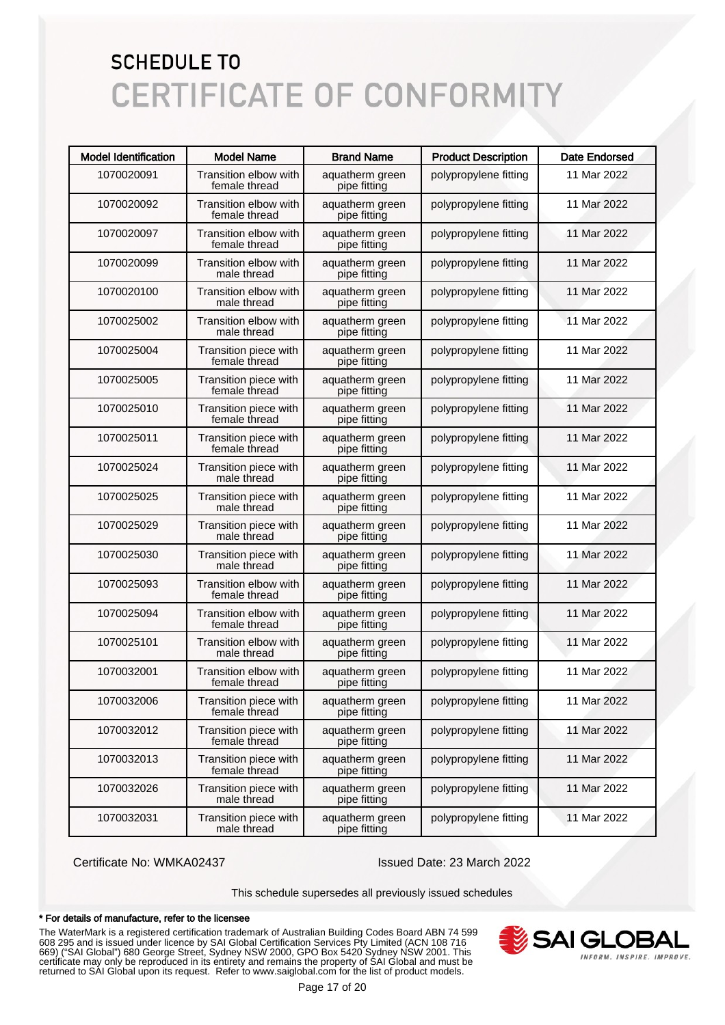| <b>Model Identification</b> | <b>Model Name</b>                      | <b>Brand Name</b>               | <b>Product Description</b> | <b>Date Endorsed</b> |
|-----------------------------|----------------------------------------|---------------------------------|----------------------------|----------------------|
| 1070020091                  | Transition elbow with<br>female thread | aquatherm green<br>pipe fitting | polypropylene fitting      | 11 Mar 2022          |
| 1070020092                  | Transition elbow with<br>female thread | aquatherm green<br>pipe fitting | polypropylene fitting      | 11 Mar 2022          |
| 1070020097                  | Transition elbow with<br>female thread | aquatherm green<br>pipe fitting | polypropylene fitting      | 11 Mar 2022          |
| 1070020099                  | Transition elbow with<br>male thread   | aquatherm green<br>pipe fitting | polypropylene fitting      | 11 Mar 2022          |
| 1070020100                  | Transition elbow with<br>male thread   | aquatherm green<br>pipe fitting | polypropylene fitting      | 11 Mar 2022          |
| 1070025002                  | Transition elbow with<br>male thread   | aquatherm green<br>pipe fitting | polypropylene fitting      | 11 Mar 2022          |
| 1070025004                  | Transition piece with<br>female thread | aquatherm green<br>pipe fitting | polypropylene fitting      | 11 Mar 2022          |
| 1070025005                  | Transition piece with<br>female thread | aquatherm green<br>pipe fitting | polypropylene fitting      | 11 Mar 2022          |
| 1070025010                  | Transition piece with<br>female thread | aquatherm green<br>pipe fitting | polypropylene fitting      | 11 Mar 2022          |
| 1070025011                  | Transition piece with<br>female thread | aquatherm green<br>pipe fitting | polypropylene fitting      | 11 Mar 2022          |
| 1070025024                  | Transition piece with<br>male thread   | aquatherm green<br>pipe fitting | polypropylene fitting      | 11 Mar 2022          |
| 1070025025                  | Transition piece with<br>male thread   | aquatherm green<br>pipe fitting | polypropylene fitting      | 11 Mar 2022          |
| 1070025029                  | Transition piece with<br>male thread   | aquatherm green<br>pipe fitting | polypropylene fitting      | 11 Mar 2022          |
| 1070025030                  | Transition piece with<br>male thread   | aquatherm green<br>pipe fitting | polypropylene fitting      | 11 Mar 2022          |
| 1070025093                  | Transition elbow with<br>female thread | aquatherm green<br>pipe fitting | polypropylene fitting      | 11 Mar 2022          |
| 1070025094                  | Transition elbow with<br>female thread | aquatherm green<br>pipe fitting | polypropylene fitting      | 11 Mar 2022          |
| 1070025101                  | Transition elbow with<br>male thread   | aquatherm green<br>pipe fitting | polypropylene fitting      | 11 Mar 2022          |
| 1070032001                  | Transition elbow with<br>female thread | aquatherm green<br>pipe fitting | polypropylene fitting      | 11 Mar 2022          |
| 1070032006                  | Transition piece with<br>female thread | aquatherm green<br>pipe fitting | polypropylene fitting      | 11 Mar 2022          |
| 1070032012                  | Transition piece with<br>female thread | aquatherm green<br>pipe fitting | polypropylene fitting      | 11 Mar 2022          |
| 1070032013                  | Transition piece with<br>female thread | aquatherm green<br>pipe fitting | polypropylene fitting      | 11 Mar 2022          |
| 1070032026                  | Transition piece with<br>male thread   | aquatherm green<br>pipe fitting | polypropylene fitting      | 11 Mar 2022          |
| 1070032031                  | Transition piece with<br>male thread   | aquatherm green<br>pipe fitting | polypropylene fitting      | 11 Mar 2022          |

Certificate No: WMKA02437 Issued Date: 23 March 2022

This schedule supersedes all previously issued schedules

#### \* For details of manufacture, refer to the licensee

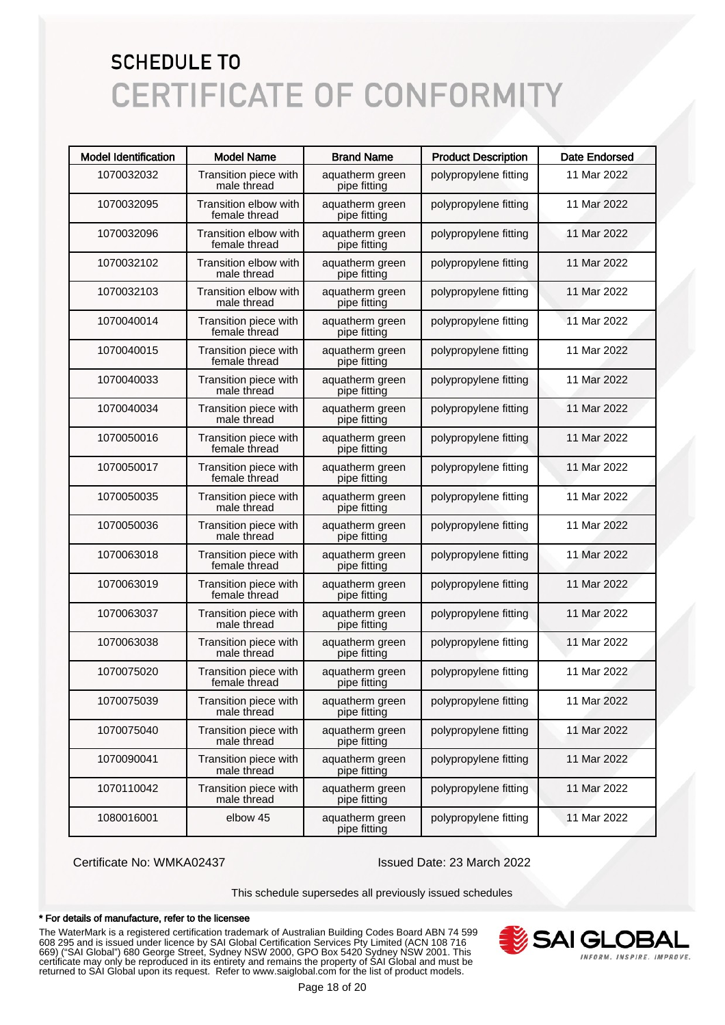| <b>Model Identification</b> | <b>Model Name</b>                      | <b>Brand Name</b>               | <b>Product Description</b> | <b>Date Endorsed</b> |
|-----------------------------|----------------------------------------|---------------------------------|----------------------------|----------------------|
| 1070032032                  | Transition piece with<br>male thread   | aquatherm green<br>pipe fitting | polypropylene fitting      | 11 Mar 2022          |
| 1070032095                  | Transition elbow with<br>female thread | aquatherm green<br>pipe fitting | polypropylene fitting      | 11 Mar 2022          |
| 1070032096                  | Transition elbow with<br>female thread | aquatherm green<br>pipe fitting | polypropylene fitting      | 11 Mar 2022          |
| 1070032102                  | Transition elbow with<br>male thread   | aquatherm green<br>pipe fitting | polypropylene fitting      | 11 Mar 2022          |
| 1070032103                  | Transition elbow with<br>male thread   | aquatherm green<br>pipe fitting | polypropylene fitting      | 11 Mar 2022          |
| 1070040014                  | Transition piece with<br>female thread | aquatherm green<br>pipe fitting | polypropylene fitting      | 11 Mar 2022          |
| 1070040015                  | Transition piece with<br>female thread | aquatherm green<br>pipe fitting | polypropylene fitting      | 11 Mar 2022          |
| 1070040033                  | Transition piece with<br>male thread   | aquatherm green<br>pipe fitting | polypropylene fitting      | 11 Mar 2022          |
| 1070040034                  | Transition piece with<br>male thread   | aquatherm green<br>pipe fitting | polypropylene fitting      | 11 Mar 2022          |
| 1070050016                  | Transition piece with<br>female thread | aquatherm green<br>pipe fitting | polypropylene fitting      | 11 Mar 2022          |
| 1070050017                  | Transition piece with<br>female thread | aquatherm green<br>pipe fitting | polypropylene fitting      | 11 Mar 2022          |
| 1070050035                  | Transition piece with<br>male thread   | aquatherm green<br>pipe fitting | polypropylene fitting      | 11 Mar 2022          |
| 1070050036                  | Transition piece with<br>male thread   | aquatherm green<br>pipe fitting | polypropylene fitting      | 11 Mar 2022          |
| 1070063018                  | Transition piece with<br>female thread | aquatherm green<br>pipe fitting | polypropylene fitting      | 11 Mar 2022          |
| 1070063019                  | Transition piece with<br>female thread | aquatherm green<br>pipe fitting | polypropylene fitting      | 11 Mar 2022          |
| 1070063037                  | Transition piece with<br>male thread   | aquatherm green<br>pipe fitting | polypropylene fitting      | 11 Mar 2022          |
| 1070063038                  | Transition piece with<br>male thread   | aquatherm green<br>pipe fitting | polypropylene fitting      | 11 Mar 2022          |
| 1070075020                  | Transition piece with<br>female thread | aquatherm green<br>pipe fitting | polypropylene fitting      | 11 Mar 2022          |
| 1070075039                  | Transition piece with<br>male thread   | aquatherm green<br>pipe fitting | polypropylene fitting      | 11 Mar 2022          |
| 1070075040                  | Transition piece with<br>male thread   | aquatherm green<br>pipe fitting | polypropylene fitting      | 11 Mar 2022          |
| 1070090041                  | Transition piece with<br>male thread   | aquatherm green<br>pipe fitting | polypropylene fitting      | 11 Mar 2022          |
| 1070110042                  | Transition piece with<br>male thread   | aquatherm green<br>pipe fitting | polypropylene fitting      | 11 Mar 2022          |
| 1080016001                  | elbow 45                               | aquatherm green<br>pipe fitting | polypropylene fitting      | 11 Mar 2022          |

Certificate No: WMKA02437 Issued Date: 23 March 2022

This schedule supersedes all previously issued schedules

#### \* For details of manufacture, refer to the licensee

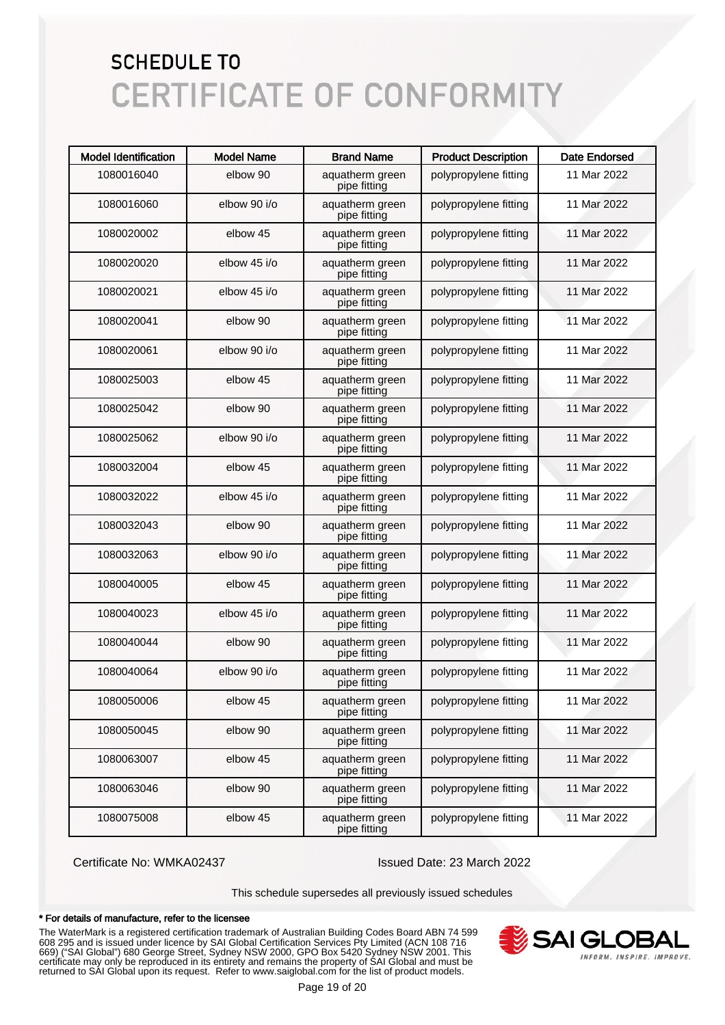| <b>Model Identification</b> | <b>Model Name</b> | <b>Brand Name</b>               | <b>Product Description</b> | <b>Date Endorsed</b> |
|-----------------------------|-------------------|---------------------------------|----------------------------|----------------------|
| 1080016040                  | elbow 90          | aquatherm green<br>pipe fitting | polypropylene fitting      | 11 Mar 2022          |
| 1080016060                  | elbow 90 i/o      | aquatherm green<br>pipe fitting | polypropylene fitting      | 11 Mar 2022          |
| 1080020002                  | elbow 45          | aquatherm green<br>pipe fitting | polypropylene fitting      | 11 Mar 2022          |
| 1080020020                  | elbow 45 i/o      | aquatherm green<br>pipe fitting | polypropylene fitting      | 11 Mar 2022          |
| 1080020021                  | elbow 45 i/o      | aquatherm green<br>pipe fitting | polypropylene fitting      | 11 Mar 2022          |
| 1080020041                  | elbow 90          | aquatherm green<br>pipe fitting | polypropylene fitting      | 11 Mar 2022          |
| 1080020061                  | elbow 90 i/o      | aquatherm green<br>pipe fitting | polypropylene fitting      | 11 Mar 2022          |
| 1080025003                  | elbow 45          | aquatherm green<br>pipe fitting | polypropylene fitting      | 11 Mar 2022          |
| 1080025042                  | elbow 90          | aquatherm green<br>pipe fitting | polypropylene fitting      | 11 Mar 2022          |
| 1080025062                  | elbow 90 i/o      | aquatherm green<br>pipe fitting | polypropylene fitting      | 11 Mar 2022          |
| 1080032004                  | elbow 45          | aquatherm green<br>pipe fitting | polypropylene fitting      | 11 Mar 2022          |
| 1080032022                  | elbow 45 i/o      | aquatherm green<br>pipe fitting | polypropylene fitting      | 11 Mar 2022          |
| 1080032043                  | elbow 90          | aquatherm green<br>pipe fitting | polypropylene fitting      | 11 Mar 2022          |
| 1080032063                  | elbow 90 i/o      | aquatherm green<br>pipe fitting | polypropylene fitting      | 11 Mar 2022          |
| 1080040005                  | elbow 45          | aquatherm green<br>pipe fitting | polypropylene fitting      | 11 Mar 2022          |
| 1080040023                  | elbow 45 i/o      | aquatherm green<br>pipe fitting | polypropylene fitting      | 11 Mar 2022          |
| 1080040044                  | elbow 90          | aquatherm green<br>pipe fitting | polypropylene fitting      | 11 Mar 2022          |
| 1080040064                  | elbow 90 i/o      | aquatherm green<br>pipe fitting | polypropylene fitting      | 11 Mar 2022          |
| 1080050006                  | elbow 45          | aquatherm green<br>pipe fitting | polypropylene fitting      | 11 Mar 2022          |
| 1080050045                  | elbow 90          | aquatherm green<br>pipe fitting | polypropylene fitting      | 11 Mar 2022          |
| 1080063007                  | elbow 45          | aquatherm green<br>pipe fitting | polypropylene fitting      | 11 Mar 2022          |
| 1080063046                  | elbow 90          | aquatherm green<br>pipe fitting | polypropylene fitting      | 11 Mar 2022          |
| 1080075008                  | elbow 45          | aquatherm green<br>pipe fitting | polypropylene fitting      | 11 Mar 2022          |

Certificate No: WMKA02437 Issued Date: 23 March 2022

This schedule supersedes all previously issued schedules

#### \* For details of manufacture, refer to the licensee